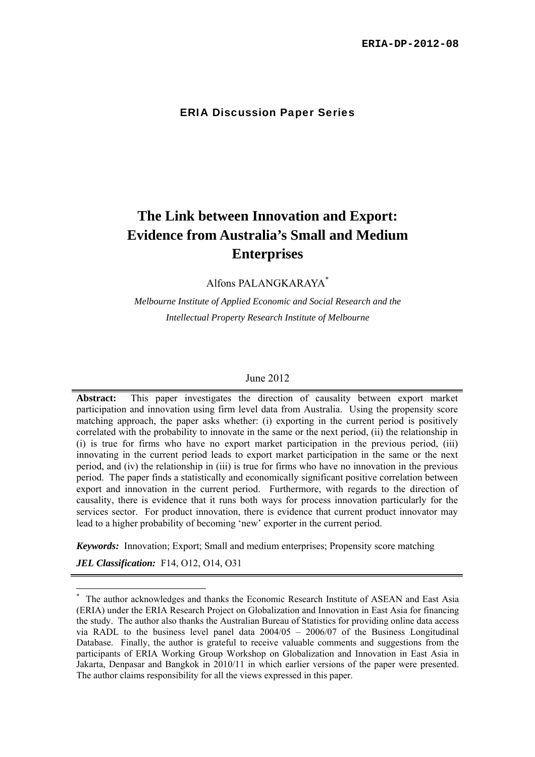### ERIA Discussion Paper Series

# **The Link between Innovation and Export: Evidence from Australia's Small and Medium Enterprises**

Alfons PALANGKARAYA\*

*Melbourne Institute of Applied Economic and Social Research and the Intellectual Property Research Institute of Melbourne* 

#### June 2012

**Abstract:** This paper investigates the direction of causality between export market participation and innovation using firm level data from Australia. Using the propensity score matching approach, the paper asks whether: (i) exporting in the current period is positively correlated with the probability to innovate in the same or the next period, (ii) the relationship in (i) is true for firms who have no export market participation in the previous period, (iii) innovating in the current period leads to export market participation in the same or the next period, and (iv) the relationship in (iii) is true for firms who have no innovation in the previous period. The paper finds a statistically and economically significant positive correlation between export and innovation in the current period. Furthermore, with regards to the direction of causality, there is evidence that it runs both ways for process innovation particularly for the services sector. For product innovation, there is evidence that current product innovator may lead to a higher probability of becoming 'new' exporter in the current period.

*Keywords:* Innovation; Export; Small and medium enterprises; Propensity score matching

*JEL Classification:* F14, O12, O14, O31

 $\overline{a}$ 

<sup>\*</sup> The author acknowledges and thanks the Economic Research Institute of ASEAN and East Asia (ERIA) under the ERIA Research Project on Globalization and Innovation in East Asia for financing the study. The author also thanks the Australian Bureau of Statistics for providing online data access via RADL to the business level panel data 2004/05 – 2006/07 of the Business Longitudinal Database. Finally, the author is grateful to receive valuable comments and suggestions from the participants of ERIA Working Group Workshop on Globalization and Innovation in East Asia in Jakarta, Denpasar and Bangkok in 2010/11 in which earlier versions of the paper were presented. The author claims responsibility for all the views expressed in this paper.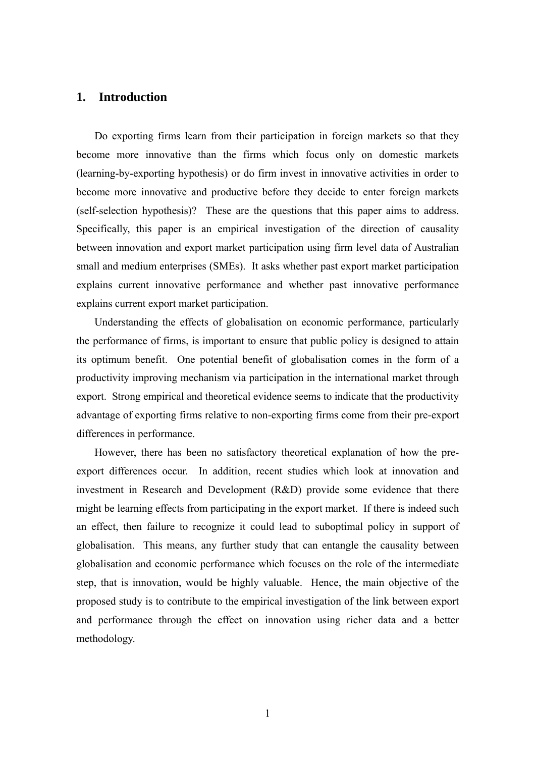# **1. Introduction**

Do exporting firms learn from their participation in foreign markets so that they become more innovative than the firms which focus only on domestic markets (learning-by-exporting hypothesis) or do firm invest in innovative activities in order to become more innovative and productive before they decide to enter foreign markets (self-selection hypothesis)? These are the questions that this paper aims to address. Specifically, this paper is an empirical investigation of the direction of causality between innovation and export market participation using firm level data of Australian small and medium enterprises (SMEs). It asks whether past export market participation explains current innovative performance and whether past innovative performance explains current export market participation.

Understanding the effects of globalisation on economic performance, particularly the performance of firms, is important to ensure that public policy is designed to attain its optimum benefit. One potential benefit of globalisation comes in the form of a productivity improving mechanism via participation in the international market through export. Strong empirical and theoretical evidence seems to indicate that the productivity advantage of exporting firms relative to non-exporting firms come from their pre-export differences in performance.

However, there has been no satisfactory theoretical explanation of how the preexport differences occur. In addition, recent studies which look at innovation and investment in Research and Development (R&D) provide some evidence that there might be learning effects from participating in the export market. If there is indeed such an effect, then failure to recognize it could lead to suboptimal policy in support of globalisation. This means, any further study that can entangle the causality between globalisation and economic performance which focuses on the role of the intermediate step, that is innovation, would be highly valuable. Hence, the main objective of the proposed study is to contribute to the empirical investigation of the link between export and performance through the effect on innovation using richer data and a better methodology.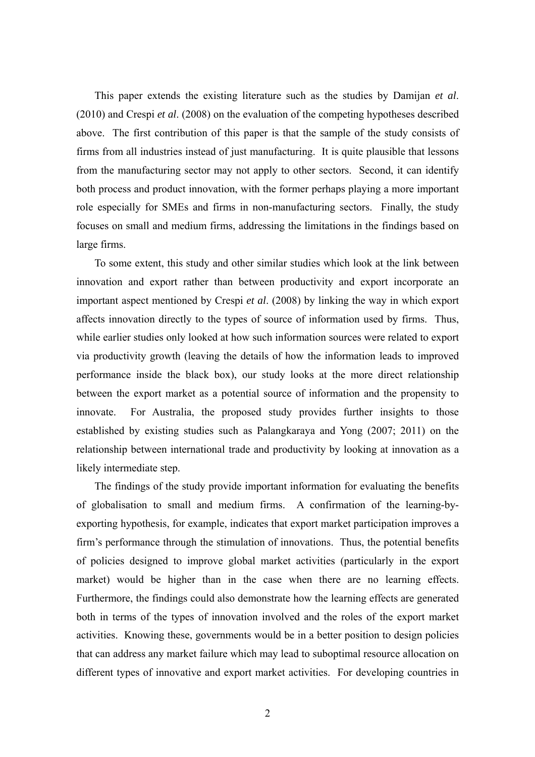This paper extends the existing literature such as the studies by Damijan *et al*. (2010) and Crespi *et al*. (2008) on the evaluation of the competing hypotheses described above. The first contribution of this paper is that the sample of the study consists of firms from all industries instead of just manufacturing. It is quite plausible that lessons from the manufacturing sector may not apply to other sectors. Second, it can identify both process and product innovation, with the former perhaps playing a more important role especially for SMEs and firms in non-manufacturing sectors. Finally, the study focuses on small and medium firms, addressing the limitations in the findings based on large firms.

To some extent, this study and other similar studies which look at the link between innovation and export rather than between productivity and export incorporate an important aspect mentioned by Crespi *et al*. (2008) by linking the way in which export affects innovation directly to the types of source of information used by firms. Thus, while earlier studies only looked at how such information sources were related to export via productivity growth (leaving the details of how the information leads to improved performance inside the black box), our study looks at the more direct relationship between the export market as a potential source of information and the propensity to innovate. For Australia, the proposed study provides further insights to those established by existing studies such as Palangkaraya and Yong (2007; 2011) on the relationship between international trade and productivity by looking at innovation as a likely intermediate step.

The findings of the study provide important information for evaluating the benefits of globalisation to small and medium firms. A confirmation of the learning-byexporting hypothesis, for example, indicates that export market participation improves a firm's performance through the stimulation of innovations. Thus, the potential benefits of policies designed to improve global market activities (particularly in the export market) would be higher than in the case when there are no learning effects. Furthermore, the findings could also demonstrate how the learning effects are generated both in terms of the types of innovation involved and the roles of the export market activities. Knowing these, governments would be in a better position to design policies that can address any market failure which may lead to suboptimal resource allocation on different types of innovative and export market activities. For developing countries in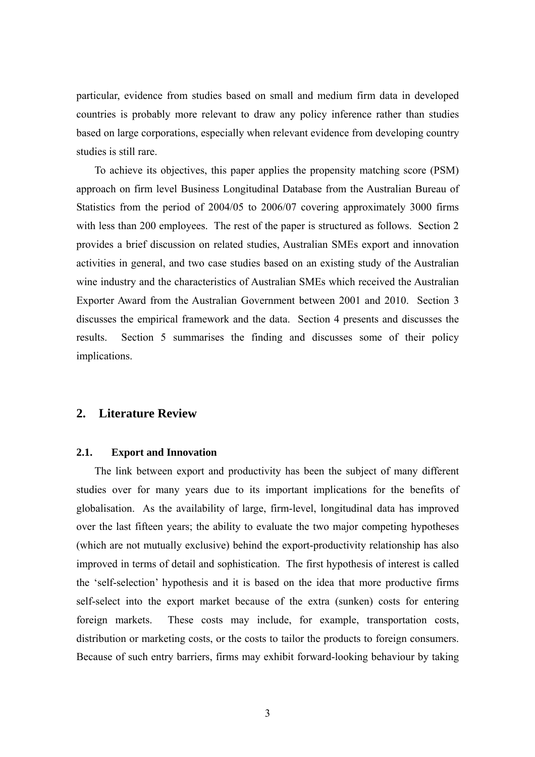particular, evidence from studies based on small and medium firm data in developed countries is probably more relevant to draw any policy inference rather than studies based on large corporations, especially when relevant evidence from developing country studies is still rare.

To achieve its objectives, this paper applies the propensity matching score (PSM) approach on firm level Business Longitudinal Database from the Australian Bureau of Statistics from the period of 2004/05 to 2006/07 covering approximately 3000 firms with less than 200 employees. The rest of the paper is structured as follows. Section 2 provides a brief discussion on related studies, Australian SMEs export and innovation activities in general, and two case studies based on an existing study of the Australian wine industry and the characteristics of Australian SMEs which received the Australian Exporter Award from the Australian Government between 2001 and 2010. Section 3 discusses the empirical framework and the data. Section 4 presents and discusses the results. Section 5 summarises the finding and discusses some of their policy implications.

# **2. Literature Review**

## **2.1. Export and Innovation**

The link between export and productivity has been the subject of many different studies over for many years due to its important implications for the benefits of globalisation. As the availability of large, firm-level, longitudinal data has improved over the last fifteen years; the ability to evaluate the two major competing hypotheses (which are not mutually exclusive) behind the export-productivity relationship has also improved in terms of detail and sophistication. The first hypothesis of interest is called the 'self-selection' hypothesis and it is based on the idea that more productive firms self-select into the export market because of the extra (sunken) costs for entering foreign markets. These costs may include, for example, transportation costs, distribution or marketing costs, or the costs to tailor the products to foreign consumers. Because of such entry barriers, firms may exhibit forward-looking behaviour by taking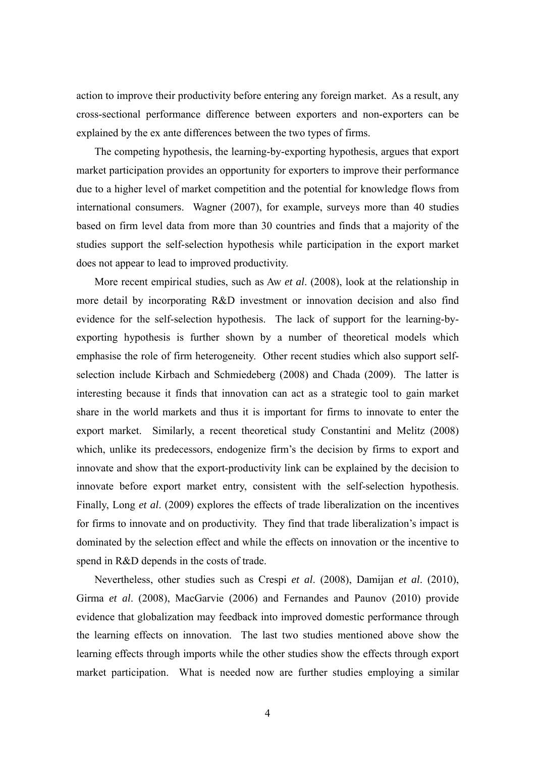action to improve their productivity before entering any foreign market. As a result, any cross-sectional performance difference between exporters and non-exporters can be explained by the ex ante differences between the two types of firms.

The competing hypothesis, the learning-by-exporting hypothesis, argues that export market participation provides an opportunity for exporters to improve their performance due to a higher level of market competition and the potential for knowledge flows from international consumers. Wagner (2007), for example, surveys more than 40 studies based on firm level data from more than 30 countries and finds that a majority of the studies support the self-selection hypothesis while participation in the export market does not appear to lead to improved productivity.

More recent empirical studies, such as Aw *et al*. (2008), look at the relationship in more detail by incorporating R&D investment or innovation decision and also find evidence for the self-selection hypothesis. The lack of support for the learning-byexporting hypothesis is further shown by a number of theoretical models which emphasise the role of firm heterogeneity. Other recent studies which also support selfselection include Kirbach and Schmiedeberg (2008) and Chada (2009). The latter is interesting because it finds that innovation can act as a strategic tool to gain market share in the world markets and thus it is important for firms to innovate to enter the export market. Similarly, a recent theoretical study Constantini and Melitz (2008) which, unlike its predecessors, endogenize firm's the decision by firms to export and innovate and show that the export-productivity link can be explained by the decision to innovate before export market entry, consistent with the self-selection hypothesis. Finally, Long *et al*. (2009) explores the effects of trade liberalization on the incentives for firms to innovate and on productivity. They find that trade liberalization's impact is dominated by the selection effect and while the effects on innovation or the incentive to spend in R&D depends in the costs of trade.

Nevertheless, other studies such as Crespi *et al*. (2008), Damijan *et al*. (2010), Girma *et al*. (2008), MacGarvie (2006) and Fernandes and Paunov (2010) provide evidence that globalization may feedback into improved domestic performance through the learning effects on innovation. The last two studies mentioned above show the learning effects through imports while the other studies show the effects through export market participation. What is needed now are further studies employing a similar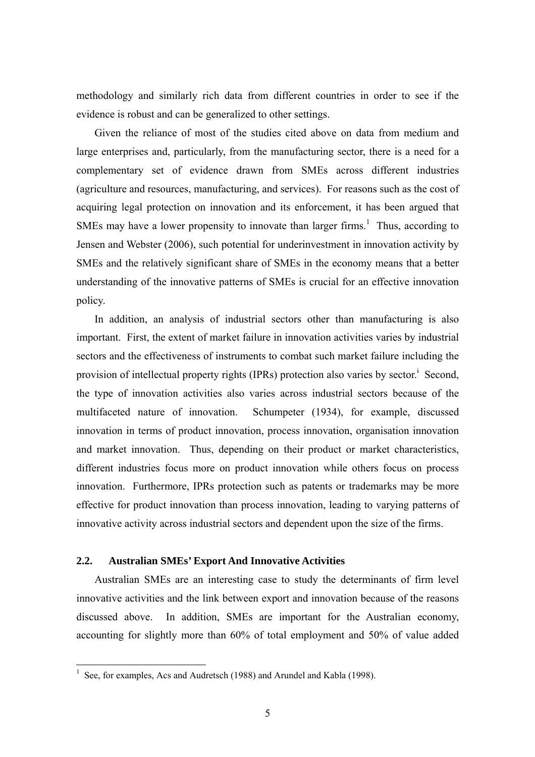methodology and similarly rich data from different countries in order to see if the evidence is robust and can be generalized to other settings.

Given the reliance of most of the studies cited above on data from medium and large enterprises and, particularly, from the manufacturing sector, there is a need for a complementary set of evidence drawn from SMEs across different industries (agriculture and resources, manufacturing, and services). For reasons such as the cost of acquiring legal protection on innovation and its enforcement, it has been argued that SMEs may have a lower propensity to innovate than larger firms.<sup>1</sup> Thus, according to Jensen and Webster (2006), such potential for underinvestment in innovation activity by SMEs and the relatively significant share of SMEs in the economy means that a better understanding of the innovative patterns of SMEs is crucial for an effective innovation policy.

In addition, an analysis of industrial sectors other than manufacturing is also important. First, the extent of market failure in innovation activities varies by industrial sectors and the effectiveness of instruments to combat such market failure including the provision of intellectual property rights (IPRs) protection also varies by sector.<sup>i</sup> Second, the type of innovation activities also varies across industrial sectors because of the multifaceted nature of innovation. Schumpeter (1934), for example, discussed innovation in terms of product innovation, process innovation, organisation innovation and market innovation. Thus, depending on their product or market characteristics, different industries focus more on product innovation while others focus on process innovation. Furthermore, IPRs protection such as patents or trademarks may be more effective for product innovation than process innovation, leading to varying patterns of innovative activity across industrial sectors and dependent upon the size of the firms.

### **2.2. Australian SMEs' Export And Innovative Activities**

Australian SMEs are an interesting case to study the determinants of firm level innovative activities and the link between export and innovation because of the reasons discussed above. In addition, SMEs are important for the Australian economy, accounting for slightly more than 60% of total employment and 50% of value added

 $\overline{a}$ 

<sup>&</sup>lt;sup>1</sup> See, for examples, Acs and Audretsch (1988) and Arundel and Kabla (1998).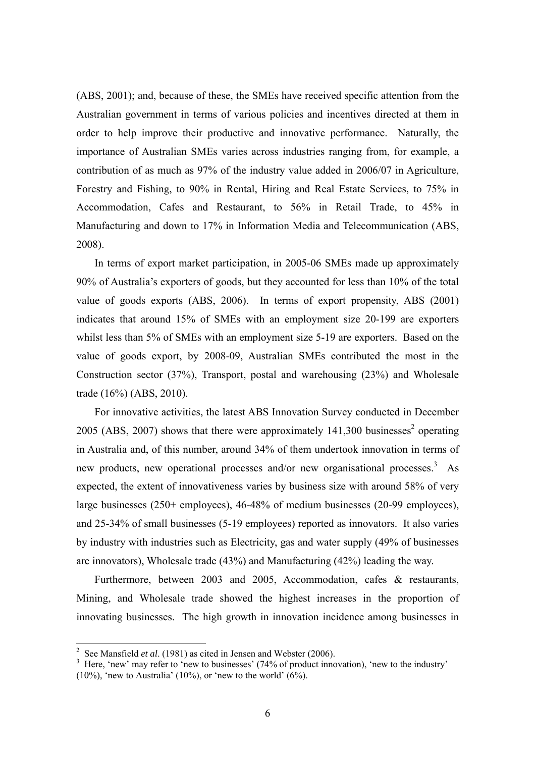(ABS, 2001); and, because of these, the SMEs have received specific attention from the Australian government in terms of various policies and incentives directed at them in order to help improve their productive and innovative performance. Naturally, the importance of Australian SMEs varies across industries ranging from, for example, a contribution of as much as 97% of the industry value added in 2006/07 in Agriculture, Forestry and Fishing, to 90% in Rental, Hiring and Real Estate Services, to 75% in Accommodation, Cafes and Restaurant, to 56% in Retail Trade, to 45% in Manufacturing and down to 17% in Information Media and Telecommunication (ABS, 2008).

In terms of export market participation, in 2005-06 SMEs made up approximately 90% of Australia's exporters of goods, but they accounted for less than 10% of the total value of goods exports (ABS, 2006). In terms of export propensity, ABS (2001) indicates that around 15% of SMEs with an employment size 20-199 are exporters whilst less than 5% of SMEs with an employment size 5-19 are exporters. Based on the value of goods export, by 2008-09, Australian SMEs contributed the most in the Construction sector (37%), Transport, postal and warehousing (23%) and Wholesale trade (16%) (ABS, 2010).

For innovative activities, the latest ABS Innovation Survey conducted in December 2005 (ABS, 2007) shows that there were approximately  $141,300$  businesses<sup>2</sup> operating in Australia and, of this number, around 34% of them undertook innovation in terms of new products, new operational processes and/or new organisational processes.<sup>3</sup> As expected, the extent of innovativeness varies by business size with around 58% of very large businesses (250+ employees), 46-48% of medium businesses (20-99 employees), and 25-34% of small businesses (5-19 employees) reported as innovators. It also varies by industry with industries such as Electricity, gas and water supply (49% of businesses are innovators), Wholesale trade (43%) and Manufacturing (42%) leading the way.

Furthermore, between 2003 and 2005, Accommodation, cafes & restaurants, Mining, and Wholesale trade showed the highest increases in the proportion of innovating businesses. The high growth in innovation incidence among businesses in

 $\overline{a}$ 

<sup>2</sup> See Mansfield *et al*. (1981) as cited in Jensen and Webster (2006).

<sup>&</sup>lt;sup>3</sup> Here, 'new' may refer to 'new to businesses' (74% of product innovation), 'new to the industry'  $(10\%)$ , 'new to Australia'  $(10\%)$ , or 'new to the world'  $(6\%)$ .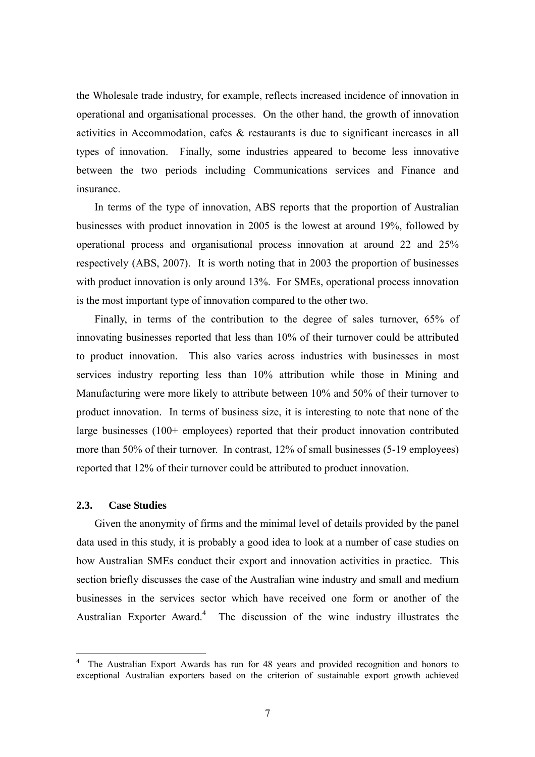the Wholesale trade industry, for example, reflects increased incidence of innovation in operational and organisational processes. On the other hand, the growth of innovation activities in Accommodation, cafes & restaurants is due to significant increases in all types of innovation. Finally, some industries appeared to become less innovative between the two periods including Communications services and Finance and insurance.

In terms of the type of innovation, ABS reports that the proportion of Australian businesses with product innovation in 2005 is the lowest at around 19%, followed by operational process and organisational process innovation at around 22 and 25% respectively (ABS, 2007). It is worth noting that in 2003 the proportion of businesses with product innovation is only around 13%. For SMEs, operational process innovation is the most important type of innovation compared to the other two.

Finally, in terms of the contribution to the degree of sales turnover, 65% of innovating businesses reported that less than 10% of their turnover could be attributed to product innovation. This also varies across industries with businesses in most services industry reporting less than 10% attribution while those in Mining and Manufacturing were more likely to attribute between 10% and 50% of their turnover to product innovation. In terms of business size, it is interesting to note that none of the large businesses (100+ employees) reported that their product innovation contributed more than 50% of their turnover. In contrast, 12% of small businesses (5-19 employees) reported that 12% of their turnover could be attributed to product innovation.

#### **2.3. Case Studies**

 $\overline{a}$ 

Given the anonymity of firms and the minimal level of details provided by the panel data used in this study, it is probably a good idea to look at a number of case studies on how Australian SMEs conduct their export and innovation activities in practice. This section briefly discusses the case of the Australian wine industry and small and medium businesses in the services sector which have received one form or another of the Australian Exporter Award.<sup>4</sup> The discussion of the wine industry illustrates the

<sup>4</sup> The Australian Export Awards has run for 48 years and provided recognition and honors to exceptional Australian exporters based on the criterion of sustainable export growth achieved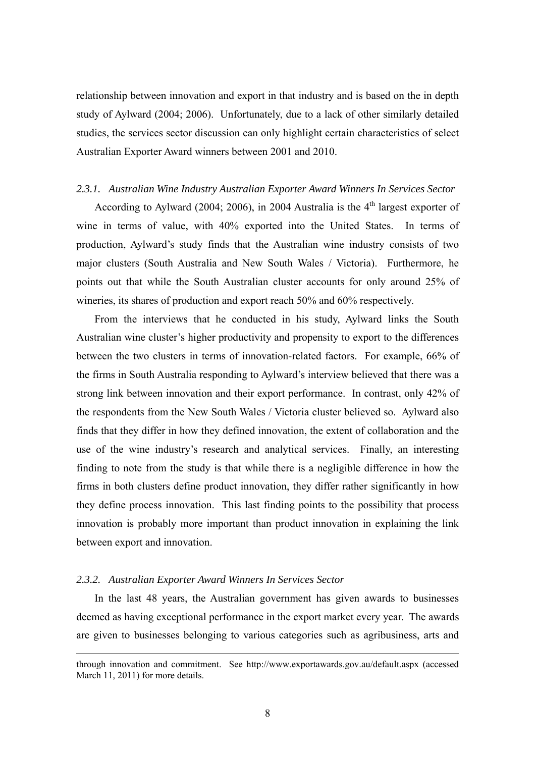relationship between innovation and export in that industry and is based on the in depth study of Aylward (2004; 2006). Unfortunately, due to a lack of other similarly detailed studies, the services sector discussion can only highlight certain characteristics of select Australian Exporter Award winners between 2001 and 2010.

#### *2.3.1. Australian Wine Industry Australian Exporter Award Winners In Services Sector*

According to Aylward (2004; 2006), in 2004 Australia is the  $4<sup>th</sup>$  largest exporter of wine in terms of value, with 40% exported into the United States. In terms of production, Aylward's study finds that the Australian wine industry consists of two major clusters (South Australia and New South Wales / Victoria). Furthermore, he points out that while the South Australian cluster accounts for only around 25% of wineries, its shares of production and export reach 50% and 60% respectively.

From the interviews that he conducted in his study, Aylward links the South Australian wine cluster's higher productivity and propensity to export to the differences between the two clusters in terms of innovation-related factors. For example, 66% of the firms in South Australia responding to Aylward's interview believed that there was a strong link between innovation and their export performance. In contrast, only 42% of the respondents from the New South Wales / Victoria cluster believed so. Aylward also finds that they differ in how they defined innovation, the extent of collaboration and the use of the wine industry's research and analytical services. Finally, an interesting finding to note from the study is that while there is a negligible difference in how the firms in both clusters define product innovation, they differ rather significantly in how they define process innovation. This last finding points to the possibility that process innovation is probably more important than product innovation in explaining the link between export and innovation.

### *2.3.2. Australian Exporter Award Winners In Services Sector*

1

In the last 48 years, the Australian government has given awards to businesses deemed as having exceptional performance in the export market every year. The awards are given to businesses belonging to various categories such as agribusiness, arts and

through innovation and commitment. See http://www.exportawards.gov.au/default.aspx (accessed March 11, 2011) for more details.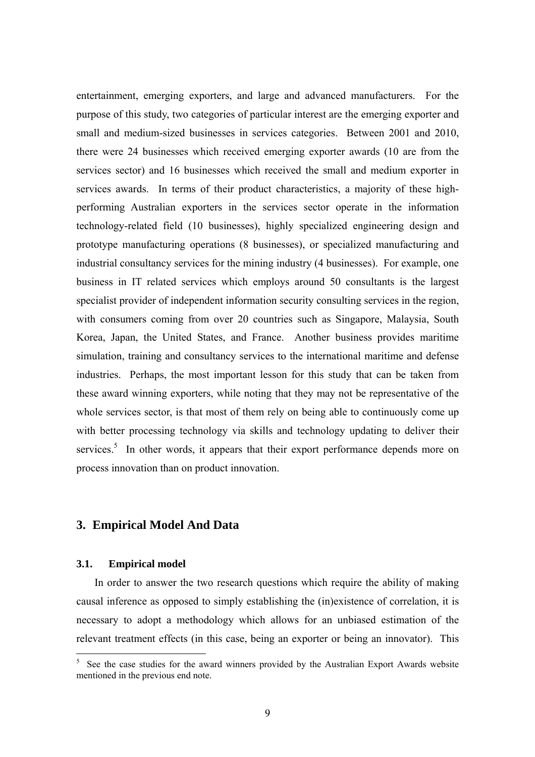entertainment, emerging exporters, and large and advanced manufacturers. For the purpose of this study, two categories of particular interest are the emerging exporter and small and medium-sized businesses in services categories. Between 2001 and 2010, there were 24 businesses which received emerging exporter awards (10 are from the services sector) and 16 businesses which received the small and medium exporter in services awards. In terms of their product characteristics, a majority of these highperforming Australian exporters in the services sector operate in the information technology-related field (10 businesses), highly specialized engineering design and prototype manufacturing operations (8 businesses), or specialized manufacturing and industrial consultancy services for the mining industry (4 businesses). For example, one business in IT related services which employs around 50 consultants is the largest specialist provider of independent information security consulting services in the region, with consumers coming from over 20 countries such as Singapore, Malaysia, South Korea, Japan, the United States, and France. Another business provides maritime simulation, training and consultancy services to the international maritime and defense industries. Perhaps, the most important lesson for this study that can be taken from these award winning exporters, while noting that they may not be representative of the whole services sector, is that most of them rely on being able to continuously come up with better processing technology via skills and technology updating to deliver their services.<sup>5</sup> In other words, it appears that their export performance depends more on process innovation than on product innovation.

# **3. Empirical Model And Data**

### **3.1. Empirical model**

 $\overline{a}$ 

In order to answer the two research questions which require the ability of making causal inference as opposed to simply establishing the (in)existence of correlation, it is necessary to adopt a methodology which allows for an unbiased estimation of the relevant treatment effects (in this case, being an exporter or being an innovator). This

<sup>5</sup> See the case studies for the award winners provided by the Australian Export Awards website mentioned in the previous end note.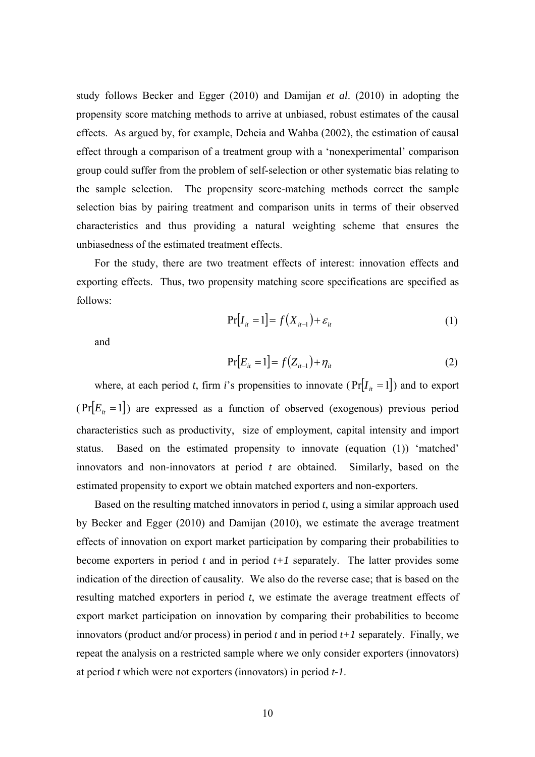study follows Becker and Egger (2010) and Damijan *et al*. (2010) in adopting the propensity score matching methods to arrive at unbiased, robust estimates of the causal effects. As argued by, for example, Deheia and Wahba (2002), the estimation of causal effect through a comparison of a treatment group with a 'nonexperimental' comparison group could suffer from the problem of self-selection or other systematic bias relating to the sample selection. The propensity score-matching methods correct the sample selection bias by pairing treatment and comparison units in terms of their observed characteristics and thus providing a natural weighting scheme that ensures the unbiasedness of the estimated treatment effects.

For the study, there are two treatment effects of interest: innovation effects and exporting effects. Thus, two propensity matching score specifications are specified as follows:

$$
\Pr[I_{ii} = 1] = f(X_{ii-1}) + \varepsilon_{ii} \tag{1}
$$

and

$$
Pr[E_{it} = 1] = f(Z_{it-1}) + \eta_{it}
$$
 (2)

where, at each period *t*, firm *i*'s propensities to innovate ( $Pr[I_{it} = 1]$ ) and to export  $(\Pr[E_{it} = 1])$  are expressed as a function of observed (exogenous) previous period characteristics such as productivity, size of employment, capital intensity and import status. Based on the estimated propensity to innovate (equation (1)) 'matched' innovators and non-innovators at period *t* are obtained. Similarly, based on the estimated propensity to export we obtain matched exporters and non-exporters.

Based on the resulting matched innovators in period *t*, using a similar approach used by Becker and Egger (2010) and Damijan (2010), we estimate the average treatment effects of innovation on export market participation by comparing their probabilities to become exporters in period *t* and in period *t+1* separately. The latter provides some indication of the direction of causality. We also do the reverse case; that is based on the resulting matched exporters in period *t*, we estimate the average treatment effects of export market participation on innovation by comparing their probabilities to become innovators (product and/or process) in period *t* and in period *t+1* separately. Finally, we repeat the analysis on a restricted sample where we only consider exporters (innovators) at period *t* which were not exporters (innovators) in period *t-1*.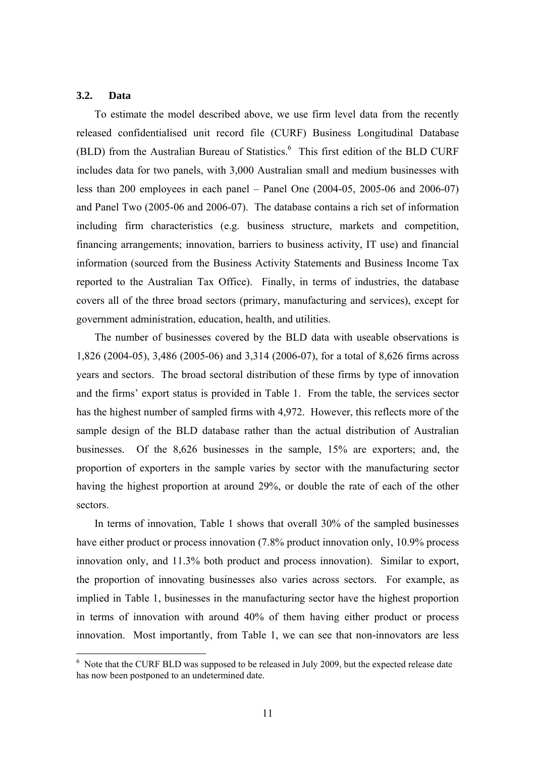### **3.2. Data**

 $\overline{a}$ 

To estimate the model described above, we use firm level data from the recently released confidentialised unit record file (CURF) Business Longitudinal Database (BLD) from the Australian Bureau of Statistics.<sup>6</sup> This first edition of the BLD CURF includes data for two panels, with 3,000 Australian small and medium businesses with less than 200 employees in each panel – Panel One (2004-05, 2005-06 and 2006-07) and Panel Two (2005-06 and 2006-07). The database contains a rich set of information including firm characteristics (e.g. business structure, markets and competition, financing arrangements; innovation, barriers to business activity, IT use) and financial information (sourced from the Business Activity Statements and Business Income Tax reported to the Australian Tax Office). Finally, in terms of industries, the database covers all of the three broad sectors (primary, manufacturing and services), except for government administration, education, health, and utilities.

The number of businesses covered by the BLD data with useable observations is 1,826 (2004-05), 3,486 (2005-06) and 3,314 (2006-07), for a total of 8,626 firms across years and sectors. The broad sectoral distribution of these firms by type of innovation and the firms' export status is provided in Table 1. From the table, the services sector has the highest number of sampled firms with 4,972. However, this reflects more of the sample design of the BLD database rather than the actual distribution of Australian businesses. Of the 8,626 businesses in the sample, 15% are exporters; and, the proportion of exporters in the sample varies by sector with the manufacturing sector having the highest proportion at around 29%, or double the rate of each of the other sectors.

In terms of innovation, Table 1 shows that overall 30% of the sampled businesses have either product or process innovation (7.8% product innovation only, 10.9% process innovation only, and 11.3% both product and process innovation). Similar to export, the proportion of innovating businesses also varies across sectors. For example, as implied in Table 1, businesses in the manufacturing sector have the highest proportion in terms of innovation with around 40% of them having either product or process innovation. Most importantly, from Table 1, we can see that non-innovators are less

 $6$  Note that the CURF BLD was supposed to be released in July 2009, but the expected release date has now been postponed to an undetermined date.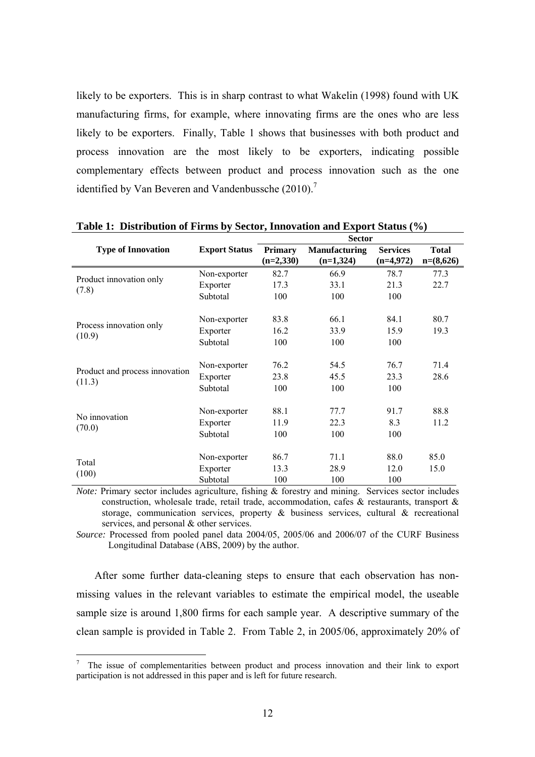likely to be exporters. This is in sharp contrast to what Wakelin (1998) found with UK manufacturing firms, for example, where innovating firms are the ones who are less likely to be exporters. Finally, Table 1 shows that businesses with both product and process innovation are the most likely to be exporters, indicating possible complementary effects between product and process innovation such as the one identified by Van Beveren and Vandenbussche  $(2010).$ <sup>7</sup>

|                                          |                      |                               | <b>Sector</b>                       |                                |                             |
|------------------------------------------|----------------------|-------------------------------|-------------------------------------|--------------------------------|-----------------------------|
| <b>Type of Innovation</b>                | <b>Export Status</b> | <b>Primary</b><br>$(n=2,330)$ | <b>Manufacturing</b><br>$(n=1,324)$ | <b>Services</b><br>$(n=4,972)$ | <b>Total</b><br>$n=(8,626)$ |
|                                          | Non-exporter         | 82.7                          | 66.9                                | 78.7                           | 77.3                        |
| Product innovation only                  | Exporter             | 17.3                          | 33.1                                | 21.3                           | 22.7                        |
| (7.8)                                    | Subtotal             | 100                           | 100                                 | 100                            |                             |
|                                          | Non-exporter         | 83.8                          | 66.1                                | 84.1                           | 80.7                        |
| Process innovation only<br>(10.9)        | Exporter             | 16.2                          | 33.9                                | 15.9                           | 19.3                        |
|                                          | Subtotal             | 100                           | 100                                 | 100                            |                             |
|                                          | Non-exporter         | 76.2                          | 54.5                                | 76.7                           | 71.4                        |
| Product and process innovation<br>(11.3) | Exporter             | 23.8                          | 45.5                                | 23.3                           | 28.6                        |
|                                          | Subtotal             | 100                           | 100                                 | 100                            |                             |
|                                          | Non-exporter         | 88.1                          | 77.7                                | 91.7                           | 88.8                        |
| No innovation<br>(70.0)                  | Exporter             | 11.9                          | 22.3                                | 8.3                            | 11.2                        |
|                                          | Subtotal             | 100                           | 100                                 | 100                            |                             |
|                                          | Non-exporter         | 86.7                          | 71.1                                | 88.0                           | 85.0                        |
| Total                                    | Exporter             | 13.3                          | 28.9                                | 12.0                           | 15.0                        |
| (100)                                    | Subtotal             | 100                           | 100                                 | 100                            |                             |

#### **Table 1: Distribution of Firms by Sector, Innovation and Export Status (%)**

*Note:* Primary sector includes agriculture, fishing & forestry and mining. Services sector includes construction, wholesale trade, retail trade, accommodation, cafes & restaurants, transport & storage, communication services, property  $\&$  business services, cultural  $\&$  recreational services, and personal & other services.

*Source:* Processed from pooled panel data 2004/05, 2005/06 and 2006/07 of the CURF Business Longitudinal Database (ABS, 2009) by the author.

After some further data-cleaning steps to ensure that each observation has nonmissing values in the relevant variables to estimate the empirical model, the useable sample size is around 1,800 firms for each sample year. A descriptive summary of the clean sample is provided in Table 2. From Table 2, in 2005/06, approximately 20% of

 $\overline{a}$ 

<sup>7</sup> The issue of complementarities between product and process innovation and their link to export participation is not addressed in this paper and is left for future research.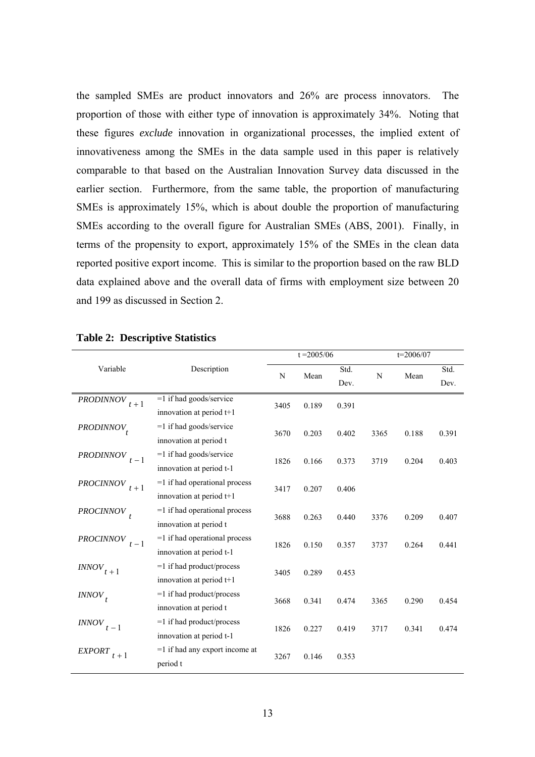the sampled SMEs are product innovators and 26% are process innovators. The proportion of those with either type of innovation is approximately 34%. Noting that these figures *exclude* innovation in organizational processes, the implied extent of innovativeness among the SMEs in the data sample used in this paper is relatively comparable to that based on the Australian Innovation Survey data discussed in the earlier section. Furthermore, from the same table, the proportion of manufacturing SMEs is approximately 15%, which is about double the proportion of manufacturing SMEs according to the overall figure for Australian SMEs (ABS, 2001). Finally, in terms of the propensity to export, approximately 15% of the SMEs in the clean data reported positive export income. This is similar to the proportion based on the raw BLD data explained above and the overall data of firms with employment size between 20 and 199 as discussed in Section 2.

|                                                                                 |                                  |                                      | $t = 2005/06$                             |                                           |                      | $t = 2006/07$           |                         |
|---------------------------------------------------------------------------------|----------------------------------|--------------------------------------|-------------------------------------------|-------------------------------------------|----------------------|-------------------------|-------------------------|
| Variable                                                                        | Description                      | N                                    | Mean                                      | Std.                                      | N                    | Mean                    | Std.                    |
|                                                                                 |                                  |                                      |                                           | Dev.                                      |                      |                         | Dev.                    |
| <b>PRODINNOV</b><br>$t+1$                                                       | $=1$ if had goods/service        | 3405                                 | 0.189                                     | 0.391                                     |                      |                         |                         |
|                                                                                 | innovation at period t+1         |                                      |                                           |                                           |                      |                         |                         |
| PRODINNOV <sub>t</sub>                                                          | $=1$ if had goods/service        |                                      |                                           | 0.402                                     | 3365                 |                         | 0.391                   |
|                                                                                 | innovation at period t           | 0.203<br>3670                        |                                           |                                           |                      | 0.188                   |                         |
| <b>PRODINNOV</b><br>$t-1$                                                       | $=1$ if had goods/service        |                                      |                                           |                                           | 3719                 |                         |                         |
|                                                                                 | innovation at period t-1         | 1826<br>0.166                        |                                           | 0.373                                     |                      | 0.204                   | 0.403                   |
| <b>PROCINNOV</b><br>$t+1$                                                       | $=1$ if had operational process  |                                      |                                           |                                           |                      |                         |                         |
|                                                                                 | innovation at period t+1         | 3417                                 | 0.207                                     | 0.406                                     |                      |                         |                         |
| $PROCINNOV$ <sub>t</sub>                                                        | $=1$ if had operational process  |                                      |                                           |                                           |                      |                         |                         |
|                                                                                 | innovation at period t           | 3688                                 | 0.263                                     | 0.440                                     | 3376                 | 0.209                   | 0.407                   |
| <b>PROCINNOV</b>                                                                | $=1$ if had operational process  |                                      |                                           |                                           |                      |                         |                         |
|                                                                                 | innovation at period t-1         |                                      |                                           |                                           |                      |                         |                         |
|                                                                                 | $=1$ if had product/process      |                                      |                                           |                                           |                      |                         |                         |
|                                                                                 | innovation at period t+1         |                                      |                                           |                                           |                      |                         |                         |
|                                                                                 | $=1$ if had product/process      |                                      |                                           |                                           |                      |                         |                         |
|                                                                                 | innovation at period t           |                                      |                                           |                                           |                      |                         |                         |
| <i><b>INNOV</b></i>                                                             | $=1$ if had product/process      |                                      |                                           |                                           |                      |                         |                         |
|                                                                                 | innovation at period t-1         |                                      |                                           |                                           |                      |                         |                         |
| <b>EXPORT</b>                                                                   | $=1$ if had any export income at |                                      |                                           |                                           |                      |                         |                         |
|                                                                                 | period t                         |                                      |                                           |                                           |                      |                         |                         |
| $t-1$<br>$\textit{INNOV}_{t+1} \label{eq:INNOV}$<br>$INNOV_t$<br>$t-1$<br>$t+1$ |                                  | 1826<br>3405<br>3668<br>1826<br>3267 | 0.150<br>0.289<br>0.341<br>0.227<br>0.146 | 0.357<br>0.453<br>0.474<br>0.419<br>0.353 | 3737<br>3365<br>3717 | 0.264<br>0.290<br>0.341 | 0.441<br>0.454<br>0.474 |

### **Table 2: Descriptive Statistics**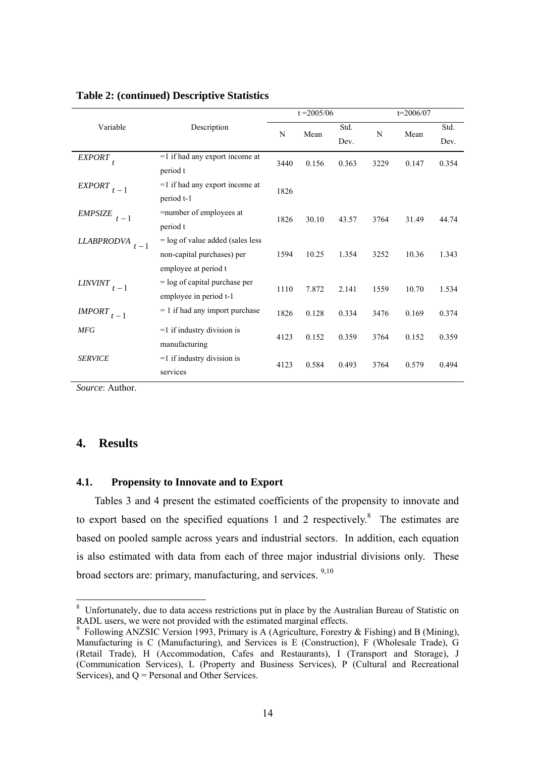|                            |                                                                                          |      | $t = 2005/06$ |              |      | $t = 2006/07$ |              |
|----------------------------|------------------------------------------------------------------------------------------|------|---------------|--------------|------|---------------|--------------|
| Variable                   | Description                                                                              | N    | Mean          | Std.<br>Dev. | N    | Mean          | Std.<br>Dev. |
| EXPORT                     | $=1$ if had any export income at<br>period t                                             | 3440 | 0.156         | 0.363        | 3229 | 0.147         | 0.354        |
| <b>EXPORT</b><br>$t-1$     | $=1$ if had any export income at<br>period t-1                                           | 1826 |               |              |      |               |              |
| <b>EMPSIZE</b><br>$t-1$    | =number of employees at<br>period t                                                      | 1826 | 30.10         | 43.57        | 3764 | 31.49         | 44.74        |
| <b>LLABPRODVA</b><br>$t-1$ | $=$ log of value added (sales less<br>non-capital purchases) per<br>employee at period t | 1594 | 10.25         | 1.354        | 3252 | 10.36         | 1.343        |
| <b>LINVINT</b><br>$t-1$    | $=$ log of capital purchase per<br>employee in period t-1                                | 1110 | 7.872         | 2.141        | 1559 | 10.70         | 1.534        |
| <b>IMPORT</b><br>$t-1$     | $= 1$ if had any import purchase                                                         | 1826 | 0.128         | 0.334        | 3476 | 0.169         | 0.374        |
| <b>MFG</b>                 | $=1$ if industry division is<br>manufacturing                                            | 4123 | 0.152         | 0.359        | 3764 | 0.152         | 0.359        |
| <b>SERVICE</b>             | $=1$ if industry division is<br>services                                                 | 4123 | 0.584         | 0.493        | 3764 | 0.579         | 0.494        |

### **Table 2: (continued) Descriptive Statistics**

*Source*: Author.

# **4. Results**

 $\overline{a}$ 

#### **4.1. Propensity to Innovate and to Export**

Tables 3 and 4 present the estimated coefficients of the propensity to innovate and to export based on the specified equations 1 and 2 respectively.<sup>8</sup> The estimates are based on pooled sample across years and industrial sectors. In addition, each equation is also estimated with data from each of three major industrial divisions only. These broad sectors are: primary, manufacturing, and services. <sup>9,10</sup>

<sup>&</sup>lt;sup>8</sup> Unfortunately, due to data access restrictions put in place by the Australian Bureau of Statistic on RADL users, we were not provided with the estimated marginal effects.<br><sup>9</sup> Following ANZSIC Version 1993, Primary is A (Agriculture, Forestry & Fishing) and B (Mining),

Manufacturing is C (Manufacturing), and Services is E (Construction), F (Wholesale Trade), G (Retail Trade), H (Accommodation, Cafes and Restaurants), I (Transport and Storage), J (Communication Services), L (Property and Business Services), P (Cultural and Recreational Services), and Q = Personal and Other Services.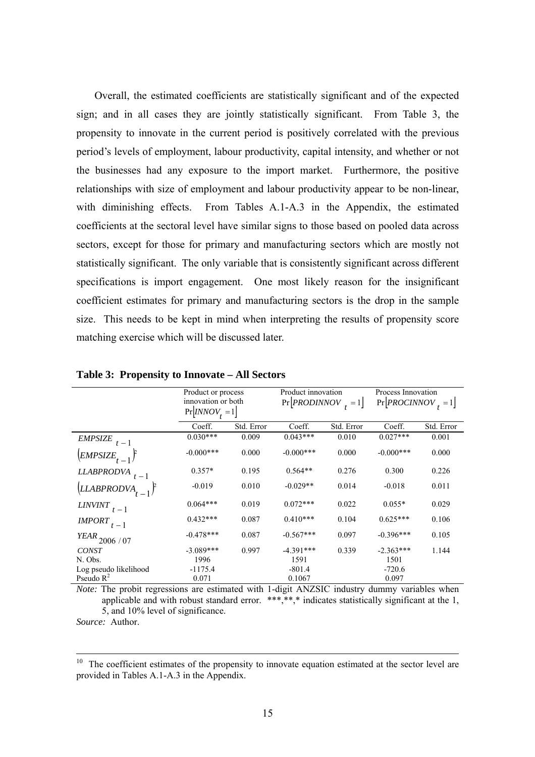Overall, the estimated coefficients are statistically significant and of the expected sign; and in all cases they are jointly statistically significant. From Table 3, the propensity to innovate in the current period is positively correlated with the previous period's levels of employment, labour productivity, capital intensity, and whether or not the businesses had any exposure to the import market. Furthermore, the positive relationships with size of employment and labour productivity appear to be non-linear, with diminishing effects. From Tables A.1-A.3 in the Appendix, the estimated coefficients at the sectoral level have similar signs to those based on pooled data across sectors, except for those for primary and manufacturing sectors which are mostly not statistically significant. The only variable that is consistently significant across different specifications is import engagement. One most likely reason for the insignificant coefficient estimates for primary and manufacturing sectors is the drop in the sample size. This needs to be kept in mind when interpreting the results of propensity score matching exercise which will be discussed later.

|                                      | Product or process<br>innovation or both<br>$Pr[INNOV_t = 1]$ |            | Product innovation<br>$Pr[PRODINNOV] = 1]$ |            | Process Innovation<br>$Pr[PROCINNOV_{+} = 1]$ |            |
|--------------------------------------|---------------------------------------------------------------|------------|--------------------------------------------|------------|-----------------------------------------------|------------|
|                                      | Coeff.                                                        | Std. Error | Coeff.                                     | Std. Error | Coeff.                                        | Std. Error |
| <b>EMPSIZE</b><br>$t-1$              | $0.030***$                                                    | 0.009      | $0.043***$                                 | 0.010      | $0.027***$                                    | 0.001      |
| $\left(\frac{EMPSIZE}{t-1}\right)^2$ | $-0.000***$                                                   | 0.000      | $-0.000***$                                | 0.000      | $-0.000***$                                   | 0.000      |
| <b>LLABPRODVA</b>                    | $0.357*$                                                      | 0.195      | $0.564**$                                  | 0.276      | 0.300                                         | 0.226      |
| LLABPRODVA <sub>t</sub>              | $-0.019$                                                      | 0.010      | $-0.029**$                                 | 0.014      | $-0.018$                                      | 0.011      |
| <b>LINVINT</b><br>$-1$               | $0.064***$                                                    | 0.019      | $0.072***$                                 | 0.022      | $0.055*$                                      | 0.029      |
| <i><b>IMPORT</b></i><br>$t-1$        | $0.432***$                                                    | 0.087      | $0.410***$                                 | 0.104      | $0.625***$                                    | 0.106      |
| $\emph{YEAR}_{2006$ / 07             | $-0.478***$                                                   | 0.087      | $-0.567***$                                | 0.097      | $-0.396***$                                   | 0.105      |
| <b>CONST</b>                         | $-3.089***$                                                   | 0.997      | $-4.391***$                                | 0.339      | $-2.363***$                                   | 1.144      |
| N. Obs.                              | 1996                                                          |            | 1591                                       |            | 1501                                          |            |
| Log pseudo likelihood                | $-1175.4$                                                     |            | $-801.4$                                   |            | $-720.6$                                      |            |
| Pseudo $R^2$                         | 0.071                                                         |            | 0.1067                                     |            | 0.097                                         |            |

**Table 3: Propensity to Innovate – All Sectors** 

*Note:* The probit regressions are estimated with 1-digit ANZSIC industry dummy variables when applicable and with robust standard error. \*\*\*,\*\*,\* indicates statistically significant at the 1, 5, and 10% level of significance.

*Source:* Author.

 $10$  The coefficient estimates of the propensity to innovate equation estimated at the sector level are provided in Tables A.1-A.3 in the Appendix.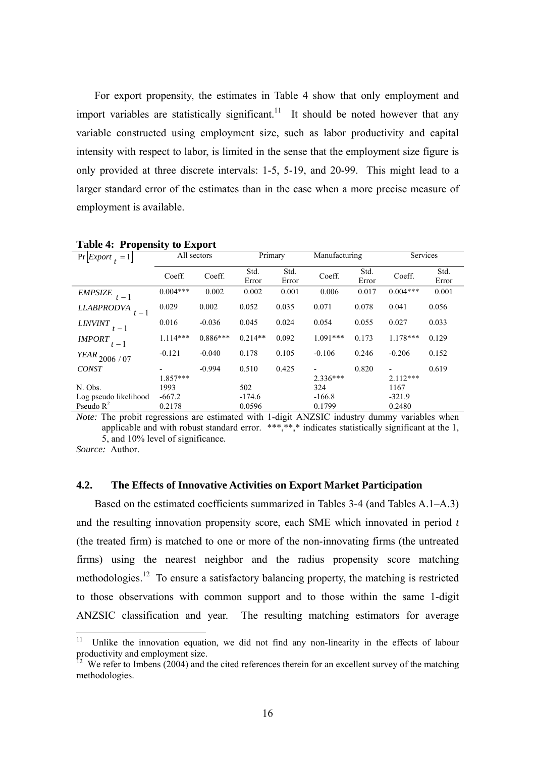For export propensity, the estimates in Table 4 show that only employment and import variables are statistically significant.<sup>11</sup> It should be noted however that any variable constructed using employment size, such as labor productivity and capital intensity with respect to labor, is limited in the sense that the employment size figure is only provided at three discrete intervals: 1-5, 5-19, and 20-99. This might lead to a larger standard error of the estimates than in the case when a more precise measure of employment is available.

| $Pr[Expert_{t} = 1]$       |            | All sectors | Primary       |               |            |               | Manufacturing |               | Services |  |
|----------------------------|------------|-------------|---------------|---------------|------------|---------------|---------------|---------------|----------|--|
|                            | Coeff.     | Coeff.      | Std.<br>Error | Std.<br>Error | Coeff.     | Std.<br>Error | Coeff.        | Std.<br>Error |          |  |
| <b>EMPSIZE</b><br>$t-1$    | $0.004***$ | 0.002       | 0.002         | 0.001         | 0.006      | 0.017         | $0.004***$    | 0.001         |          |  |
| <b>LLABPRODVA</b><br>$t-1$ | 0.029      | 0.002       | 0.052         | 0.035         | 0.071      | 0.078         | 0.041         | 0.056         |          |  |
| <b>LINVINT</b><br>$t-1$    | 0.016      | $-0.036$    | 0.045         | 0.024         | 0.054      | 0.055         | 0.027         | 0.033         |          |  |
| <b>IMPORT</b><br>$t-1$     | $1.114***$ | $0.886***$  | $0.214**$     | 0.092         | $1.091***$ | 0.173         | $1.178***$    | 0.129         |          |  |
| $\emph{YEAR}_{2006$ / 07   | $-0.121$   | $-0.040$    | 0.178         | 0.105         | $-0.106$   | 0.246         | $-0.206$      | 0.152         |          |  |
| <b>CONST</b>               | $1.857***$ | $-0.994$    | 0.510         | 0.425         | $2.336***$ | 0.820         | $2.112***$    | 0.619         |          |  |
| N. Obs.                    | 1993       |             | 502           |               | 324        |               | 1167          |               |          |  |
| Log pseudo likelihood      | $-667.2$   |             | $-174.6$      |               | $-166.8$   |               | $-321.9$      |               |          |  |
| Pseudo $R^2$               | 0.2178     |             | 0.0596        |               | 0.1799     |               | 0.2480        |               |          |  |

**Table 4: Propensity to Export** 

*Note:* The probit regressions are estimated with 1-digit ANZSIC industry dummy variables when applicable and with robust standard error. \*\*\*,\*\*,\* indicates statistically significant at the 1, 5, and 10% level of significance.

*Source:* Author.

 $\overline{a}$ 

### **4.2. The Effects of Innovative Activities on Export Market Participation**

Based on the estimated coefficients summarized in Tables 3-4 (and Tables A.1–A.3) and the resulting innovation propensity score, each SME which innovated in period *t* (the treated firm) is matched to one or more of the non-innovating firms (the untreated firms) using the nearest neighbor and the radius propensity score matching methodologies.<sup>12</sup> To ensure a satisfactory balancing property, the matching is restricted to those observations with common support and to those within the same 1-digit ANZSIC classification and year. The resulting matching estimators for average

<sup>&</sup>lt;sup>11</sup> Unlike the innovation equation, we did not find any non-linearity in the effects of labour productivity and employment size.

 $12$  We refer to Imbens (2004) and the cited references therein for an excellent survey of the matching methodologies.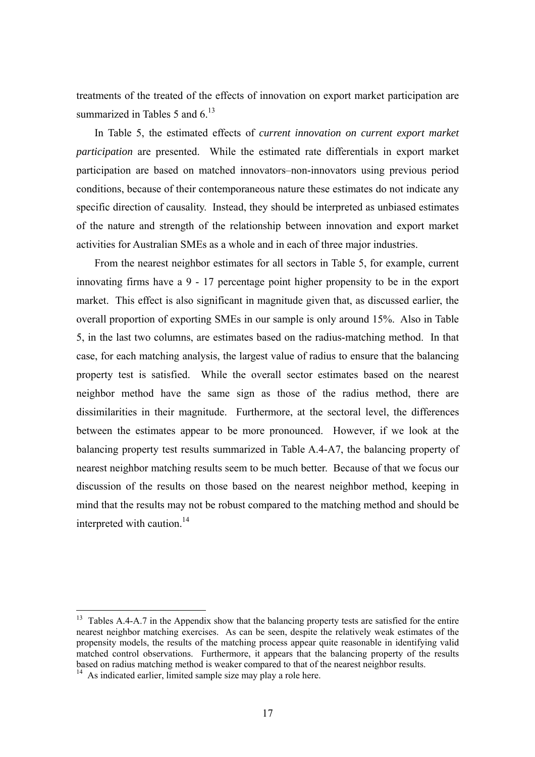treatments of the treated of the effects of innovation on export market participation are summarized in Tables 5 and  $6<sup>13</sup>$ 

In Table 5, the estimated effects of *current innovation on current export market participation* are presented. While the estimated rate differentials in export market participation are based on matched innovators–non-innovators using previous period conditions, because of their contemporaneous nature these estimates do not indicate any specific direction of causality. Instead, they should be interpreted as unbiased estimates of the nature and strength of the relationship between innovation and export market activities for Australian SMEs as a whole and in each of three major industries.

From the nearest neighbor estimates for all sectors in Table 5, for example, current innovating firms have a 9 - 17 percentage point higher propensity to be in the export market. This effect is also significant in magnitude given that, as discussed earlier, the overall proportion of exporting SMEs in our sample is only around 15%. Also in Table 5, in the last two columns, are estimates based on the radius-matching method. In that case, for each matching analysis, the largest value of radius to ensure that the balancing property test is satisfied. While the overall sector estimates based on the nearest neighbor method have the same sign as those of the radius method, there are dissimilarities in their magnitude. Furthermore, at the sectoral level, the differences between the estimates appear to be more pronounced. However, if we look at the balancing property test results summarized in Table A.4-A7, the balancing property of nearest neighbor matching results seem to be much better. Because of that we focus our discussion of the results on those based on the nearest neighbor method, keeping in mind that the results may not be robust compared to the matching method and should be interpreted with caution.<sup>14</sup>

 $\overline{a}$ 

 $13$  Tables A.4-A.7 in the Appendix show that the balancing property tests are satisfied for the entire nearest neighbor matching exercises. As can be seen, despite the relatively weak estimates of the propensity models, the results of the matching process appear quite reasonable in identifying valid matched control observations. Furthermore, it appears that the balancing property of the results based on radius matching method is weaker compared to that of the nearest neighbor results.

 $14$  As indicated earlier, limited sample size may play a role here.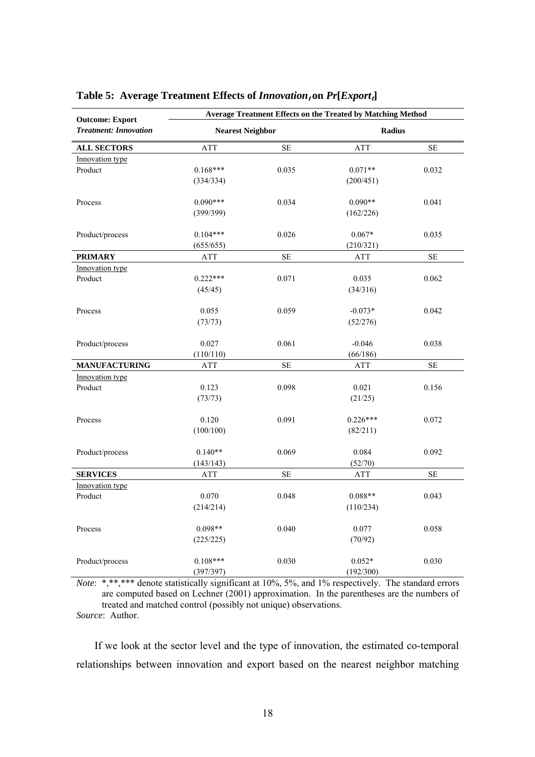| <b>Treatment: Innovation</b><br><b>Nearest Neighbor</b><br><b>Radius</b><br><b>ATT</b><br>$\rm SE$<br><b>ALL SECTORS</b><br><b>ATT</b><br>$\rm SE$<br>Innovation type<br>$0.168***$<br>0.035<br>$0.071**$<br>0.032<br>Product<br>(334/334)<br>(200/451)<br>$0.090***$<br>$0.090**$<br>0.034<br>0.041<br>Process<br>(399/399)<br>(162/226)<br>$0.104***$<br>0.026<br>$0.067*$<br>Product/process<br>0.035<br>(655/655)<br>(210/321)<br>SE<br>$\rm SE$<br><b>PRIMARY</b><br>ATT<br>ATT<br>Innovation type<br>$0.222***$<br>Product<br>0.071<br>0.035<br>0.062<br>(45/45)<br>(34/316)<br>0.055<br>0.059<br>$-0.073*$<br>0.042<br>Process<br>(73/73)<br>(52/276)<br>0.027<br>Product/process<br>0.061<br>$-0.046$<br>0.038 | <b>Outcome: Export</b> | <b>Average Treatment Effects on the Treated by Matching Method</b> |  |          |  |  |
|------------------------------------------------------------------------------------------------------------------------------------------------------------------------------------------------------------------------------------------------------------------------------------------------------------------------------------------------------------------------------------------------------------------------------------------------------------------------------------------------------------------------------------------------------------------------------------------------------------------------------------------------------------------------------------------------------------------------|------------------------|--------------------------------------------------------------------|--|----------|--|--|
|                                                                                                                                                                                                                                                                                                                                                                                                                                                                                                                                                                                                                                                                                                                        |                        |                                                                    |  |          |  |  |
|                                                                                                                                                                                                                                                                                                                                                                                                                                                                                                                                                                                                                                                                                                                        |                        |                                                                    |  |          |  |  |
|                                                                                                                                                                                                                                                                                                                                                                                                                                                                                                                                                                                                                                                                                                                        |                        |                                                                    |  |          |  |  |
|                                                                                                                                                                                                                                                                                                                                                                                                                                                                                                                                                                                                                                                                                                                        |                        |                                                                    |  |          |  |  |
|                                                                                                                                                                                                                                                                                                                                                                                                                                                                                                                                                                                                                                                                                                                        |                        |                                                                    |  |          |  |  |
|                                                                                                                                                                                                                                                                                                                                                                                                                                                                                                                                                                                                                                                                                                                        |                        |                                                                    |  |          |  |  |
|                                                                                                                                                                                                                                                                                                                                                                                                                                                                                                                                                                                                                                                                                                                        |                        |                                                                    |  |          |  |  |
|                                                                                                                                                                                                                                                                                                                                                                                                                                                                                                                                                                                                                                                                                                                        |                        |                                                                    |  |          |  |  |
|                                                                                                                                                                                                                                                                                                                                                                                                                                                                                                                                                                                                                                                                                                                        |                        |                                                                    |  |          |  |  |
|                                                                                                                                                                                                                                                                                                                                                                                                                                                                                                                                                                                                                                                                                                                        |                        |                                                                    |  |          |  |  |
|                                                                                                                                                                                                                                                                                                                                                                                                                                                                                                                                                                                                                                                                                                                        |                        |                                                                    |  |          |  |  |
|                                                                                                                                                                                                                                                                                                                                                                                                                                                                                                                                                                                                                                                                                                                        |                        |                                                                    |  |          |  |  |
|                                                                                                                                                                                                                                                                                                                                                                                                                                                                                                                                                                                                                                                                                                                        |                        |                                                                    |  |          |  |  |
|                                                                                                                                                                                                                                                                                                                                                                                                                                                                                                                                                                                                                                                                                                                        |                        |                                                                    |  |          |  |  |
|                                                                                                                                                                                                                                                                                                                                                                                                                                                                                                                                                                                                                                                                                                                        |                        |                                                                    |  |          |  |  |
|                                                                                                                                                                                                                                                                                                                                                                                                                                                                                                                                                                                                                                                                                                                        |                        |                                                                    |  |          |  |  |
|                                                                                                                                                                                                                                                                                                                                                                                                                                                                                                                                                                                                                                                                                                                        |                        | (110/110)                                                          |  | (66/186) |  |  |
| <b>SE</b><br>$\rm SE$<br><b>MANUFACTURING</b><br>ATT<br><b>ATT</b>                                                                                                                                                                                                                                                                                                                                                                                                                                                                                                                                                                                                                                                     |                        |                                                                    |  |          |  |  |
| Innovation type                                                                                                                                                                                                                                                                                                                                                                                                                                                                                                                                                                                                                                                                                                        |                        |                                                                    |  |          |  |  |
| 0.123<br>0.098<br>Product<br>0.021<br>0.156                                                                                                                                                                                                                                                                                                                                                                                                                                                                                                                                                                                                                                                                            |                        |                                                                    |  |          |  |  |
| (73/73)<br>(21/25)                                                                                                                                                                                                                                                                                                                                                                                                                                                                                                                                                                                                                                                                                                     |                        |                                                                    |  |          |  |  |
| $0.226***$<br>0.120<br>0.091<br>0.072<br>Process                                                                                                                                                                                                                                                                                                                                                                                                                                                                                                                                                                                                                                                                       |                        |                                                                    |  |          |  |  |
| (100/100)<br>(82/211)                                                                                                                                                                                                                                                                                                                                                                                                                                                                                                                                                                                                                                                                                                  |                        |                                                                    |  |          |  |  |
| $0.140**$<br>0.069<br>0.084<br>0.092<br>Product/process                                                                                                                                                                                                                                                                                                                                                                                                                                                                                                                                                                                                                                                                |                        |                                                                    |  |          |  |  |
| (143/143)<br>(52/70)                                                                                                                                                                                                                                                                                                                                                                                                                                                                                                                                                                                                                                                                                                   |                        |                                                                    |  |          |  |  |
| <b>SERVICES</b><br><b>SE</b><br>$\rm SE$<br>ATT<br>ATT                                                                                                                                                                                                                                                                                                                                                                                                                                                                                                                                                                                                                                                                 |                        |                                                                    |  |          |  |  |
| Innovation type                                                                                                                                                                                                                                                                                                                                                                                                                                                                                                                                                                                                                                                                                                        |                        |                                                                    |  |          |  |  |
| 0.070<br>0.048<br>$0.088**$<br>0.043<br>Product                                                                                                                                                                                                                                                                                                                                                                                                                                                                                                                                                                                                                                                                        |                        |                                                                    |  |          |  |  |
| (214/214)<br>(110/234)                                                                                                                                                                                                                                                                                                                                                                                                                                                                                                                                                                                                                                                                                                 |                        |                                                                    |  |          |  |  |
| $0.098**$<br>0.040<br>0.077<br>0.058<br>Process                                                                                                                                                                                                                                                                                                                                                                                                                                                                                                                                                                                                                                                                        |                        |                                                                    |  |          |  |  |
| (225/225)<br>(70/92)                                                                                                                                                                                                                                                                                                                                                                                                                                                                                                                                                                                                                                                                                                   |                        |                                                                    |  |          |  |  |
| $0.108***$<br>0.030<br>$0.052*$<br>0.030<br>Product/process                                                                                                                                                                                                                                                                                                                                                                                                                                                                                                                                                                                                                                                            |                        |                                                                    |  |          |  |  |
| (397/397)<br>(192/300)                                                                                                                                                                                                                                                                                                                                                                                                                                                                                                                                                                                                                                                                                                 |                        |                                                                    |  |          |  |  |

# **Table 5: Average Treatment Effects of**  $Innovation<sub>t</sub>$  **on**  $Pr[Export<sub>t</sub>]$

*Note*: \*,\*\*,\*\*\* denote statistically significant at 10%, 5%, and 1% respectively. The standard errors are computed based on Lechner (2001) approximation. In the parentheses are the numbers of treated and matched control (possibly not unique) observations.

*Source*: Author.

If we look at the sector level and the type of innovation, the estimated co-temporal relationships between innovation and export based on the nearest neighbor matching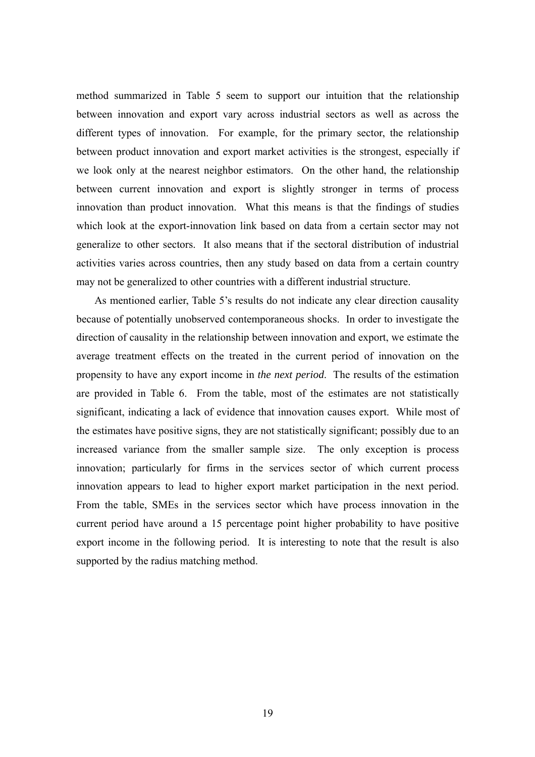method summarized in Table 5 seem to support our intuition that the relationship between innovation and export vary across industrial sectors as well as across the different types of innovation. For example, for the primary sector, the relationship between product innovation and export market activities is the strongest, especially if we look only at the nearest neighbor estimators. On the other hand, the relationship between current innovation and export is slightly stronger in terms of process innovation than product innovation. What this means is that the findings of studies which look at the export-innovation link based on data from a certain sector may not generalize to other sectors. It also means that if the sectoral distribution of industrial activities varies across countries, then any study based on data from a certain country may not be generalized to other countries with a different industrial structure.

As mentioned earlier, Table 5's results do not indicate any clear direction causality because of potentially unobserved contemporaneous shocks. In order to investigate the direction of causality in the relationship between innovation and export, we estimate the average treatment effects on the treated in the current period of innovation on the propensity to have any export income in *the next period*. The results of the estimation are provided in Table 6. From the table, most of the estimates are not statistically significant, indicating a lack of evidence that innovation causes export. While most of the estimates have positive signs, they are not statistically significant; possibly due to an increased variance from the smaller sample size. The only exception is process innovation; particularly for firms in the services sector of which current process innovation appears to lead to higher export market participation in the next period. From the table, SMEs in the services sector which have process innovation in the current period have around a 15 percentage point higher probability to have positive export income in the following period. It is interesting to note that the result is also supported by the radius matching method.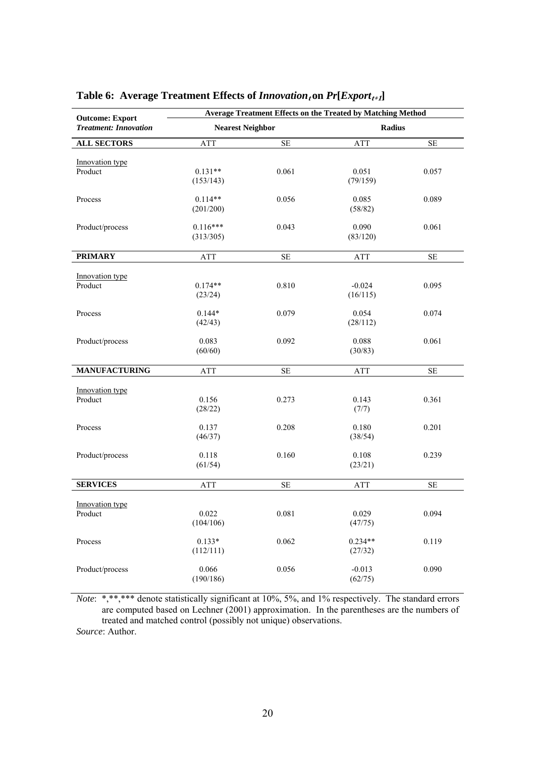| <b>Outcome: Export</b>       | <b>Average Treatment Effects on the Treated by Matching Method</b> |           |                      |          |  |
|------------------------------|--------------------------------------------------------------------|-----------|----------------------|----------|--|
| <b>Treatment: Innovation</b> | <b>Nearest Neighbor</b>                                            |           | <b>Radius</b>        |          |  |
| <b>ALL SECTORS</b>           | ATT                                                                | <b>SE</b> | ATT                  | $\rm SE$ |  |
| Innovation type<br>Product   | $0.131**$<br>(153/143)                                             | 0.061     | 0.051<br>(79/159)    | 0.057    |  |
| Process                      | $0.114**$<br>(201/200)                                             | 0.056     | 0.085<br>(58/82)     | 0.089    |  |
| Product/process              | $0.116***$<br>(313/305)                                            | 0.043     | 0.090<br>(83/120)    | 0.061    |  |
| <b>PRIMARY</b>               | ATT                                                                | <b>SE</b> | ATT                  | $\rm SE$ |  |
| Innovation type<br>Product   | $0.174**$<br>(23/24)                                               | 0.810     | $-0.024$<br>(16/115) | 0.095    |  |
| Process                      | $0.144*$<br>(42/43)                                                | 0.079     | 0.054<br>(28/112)    | 0.074    |  |
| Product/process              | 0.083<br>(60/60)                                                   | 0.092     | 0.088<br>(30/83)     | 0.061    |  |
| <b>MANUFACTURING</b>         | ATT                                                                | <b>SE</b> | <b>ATT</b>           | $\rm SE$ |  |
| Innovation type<br>Product   | 0.156<br>(28/22)                                                   | 0.273     | 0.143<br>(7/7)       | 0.361    |  |
| Process                      | 0.137<br>(46/37)                                                   | 0.208     | 0.180<br>(38/54)     | 0.201    |  |
| Product/process              | 0.118<br>(61/54)                                                   | 0.160     | 0.108<br>(23/21)     | 0.239    |  |
| <b>SERVICES</b>              | ATT                                                                | <b>SE</b> | <b>ATT</b>           | $\rm SE$ |  |
| Innovation type<br>Product   | 0.022<br>(104/106)                                                 | 0.081     | 0.029<br>(47/75)     | 0.094    |  |
| Process                      | $0.133*$<br>(112/111)                                              | 0.062     | $0.234**$<br>(27/32) | 0.119    |  |
| Product/process              | 0.066<br>(190/186)                                                 | 0.056     | $-0.013$<br>(62/75)  | 0.090    |  |

# Table 6: Average Treatment Effects of  $Innovation<sub>t</sub>$  on  $Pr[Export<sub>t+1</sub>]$

*Note*: \*,\*\*,\*\*\* denote statistically significant at 10%, 5%, and 1% respectively. The standard errors are computed based on Lechner (2001) approximation. In the parentheses are the numbers of treated and matched control (possibly not unique) observations.

*Source*: Author.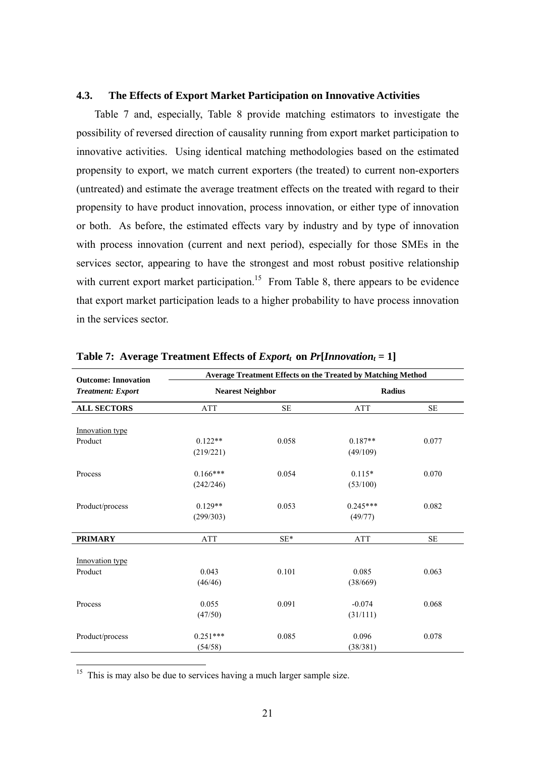### **4.3. The Effects of Export Market Participation on Innovative Activities**

Table 7 and, especially, Table 8 provide matching estimators to investigate the possibility of reversed direction of causality running from export market participation to innovative activities. Using identical matching methodologies based on the estimated propensity to export, we match current exporters (the treated) to current non-exporters (untreated) and estimate the average treatment effects on the treated with regard to their propensity to have product innovation, process innovation, or either type of innovation or both. As before, the estimated effects vary by industry and by type of innovation with process innovation (current and next period), especially for those SMEs in the services sector, appearing to have the strongest and most robust positive relationship with current export market participation.<sup>15</sup> From Table 8, there appears to be evidence that export market participation leads to a higher probability to have process innovation in the services sector.

| <b>Outcome: Innovation</b> | Average Treatment Effects on the Treated by Matching Method |           |               |           |  |  |
|----------------------------|-------------------------------------------------------------|-----------|---------------|-----------|--|--|
| <b>Treatment: Export</b>   | <b>Nearest Neighbor</b>                                     |           | <b>Radius</b> |           |  |  |
| <b>ALL SECTORS</b>         | <b>ATT</b>                                                  | <b>SE</b> | <b>ATT</b>    | <b>SE</b> |  |  |
| Innovation type            |                                                             |           |               |           |  |  |
| Product                    | $0.122**$                                                   | 0.058     | $0.187**$     | 0.077     |  |  |
|                            | (219/221)                                                   |           | (49/109)      |           |  |  |
| Process                    | $0.166***$                                                  | 0.054     | $0.115*$      | 0.070     |  |  |
|                            | (242/246)                                                   |           | (53/100)      |           |  |  |
| Product/process            | $0.129**$                                                   | 0.053     | $0.245***$    | 0.082     |  |  |
|                            | (299/303)                                                   |           | (49/77)       |           |  |  |
| <b>PRIMARY</b>             | <b>ATT</b>                                                  | $SE*$     | <b>ATT</b>    | <b>SE</b> |  |  |
| Innovation type            |                                                             |           |               |           |  |  |
| Product                    | 0.043                                                       | 0.101     | 0.085         | 0.063     |  |  |
|                            | (46/46)                                                     |           | (38/669)      |           |  |  |
| Process                    | 0.055                                                       | 0.091     | $-0.074$      | 0.068     |  |  |
|                            | (47/50)                                                     |           | (31/111)      |           |  |  |
| Product/process            | $0.251***$                                                  | 0.085     | 0.096         | 0.078     |  |  |
|                            | (54/58)                                                     |           | (38/381)      |           |  |  |

**Table 7:** Average Treatment Effects of  $Export_t$  on  $Pr[Innovation_t = 1]$ 

 $15$  This is may also be due to services having a much larger sample size.

 $\overline{a}$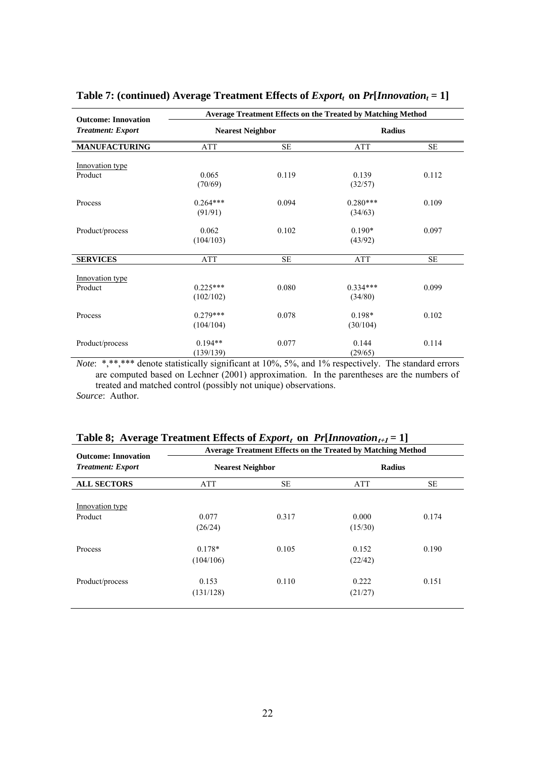| <b>Outcome: Innovation</b> |                         | <b>Average Treatment Effects on the Treated by Matching Method</b> |                       |           |
|----------------------------|-------------------------|--------------------------------------------------------------------|-----------------------|-----------|
| <b>Treatment: Export</b>   | <b>Nearest Neighbor</b> |                                                                    | <b>Radius</b>         |           |
| <b>MANUFACTURING</b>       | <b>ATT</b>              | <b>SE</b>                                                          | <b>ATT</b>            | SE        |
| Innovation type            |                         |                                                                    |                       |           |
| Product                    | 0.065<br>(70/69)        | 0.119                                                              | 0.139<br>(32/57)      | 0.112     |
| Process                    | $0.264***$<br>(91/91)   | 0.094                                                              | $0.280***$<br>(34/63) | 0.109     |
| Product/process            | 0.062<br>(104/103)      | 0.102                                                              | $0.190*$<br>(43/92)   | 0.097     |
| <b>SERVICES</b>            | ATT                     | <b>SE</b>                                                          | <b>ATT</b>            | <b>SE</b> |
| Innovation type<br>Product | $0.225***$<br>(102/102) | 0.080                                                              | $0.334***$<br>(34/80) | 0.099     |
| Process                    | $0.279***$<br>(104/104) | 0.078                                                              | $0.198*$<br>(30/104)  | 0.102     |
| Product/process            | $0.194**$<br>(139/139)  | 0.077                                                              | 0.144<br>(29/65)      | 0.114     |

# Table 7: (continued) Average Treatment Effects of  $Expert<sub>t</sub>$  on  $Pr[Innovation<sub>t</sub> = 1]$

*Note*: \*,\*\*,\*\*\* denote statistically significant at 10%, 5%, and 1% respectively. The standard errors are computed based on Lechner (2001) approximation. In the parentheses are the numbers of treated and matched control (possibly not unique) observations.

*Source*: Author.

| <b>Outcome: Innovation</b> | <b>Table 6, Average Treatment Ellects of Export</b> on Trumovation $t_{i,j}$ = 1<br>Average Treatment Effects on the Treated by Matching Method |           |                  |       |  |  |
|----------------------------|-------------------------------------------------------------------------------------------------------------------------------------------------|-----------|------------------|-------|--|--|
| <b>Treatment: Export</b>   | <b>Nearest Neighbor</b>                                                                                                                         |           | Radius           |       |  |  |
| <b>ALL SECTORS</b>         | ATT                                                                                                                                             | <b>SE</b> | ATT              | SE.   |  |  |
| Innovation type            |                                                                                                                                                 |           |                  |       |  |  |
| Product                    | 0.077<br>(26/24)                                                                                                                                | 0.317     | 0.000<br>(15/30) | 0.174 |  |  |
| Process                    | $0.178*$<br>(104/106)                                                                                                                           | 0.105     | 0.152<br>(22/42) | 0.190 |  |  |
| Product/process            | 0.153<br>(131/128)                                                                                                                              | 0.110     | 0.222<br>(21/27) | 0.151 |  |  |

| Table 8; Average Treatment Effects of $Expertt$ on $Pr[Innovationt+1 = 1]$ |  |  |  |  |  |
|----------------------------------------------------------------------------|--|--|--|--|--|
|----------------------------------------------------------------------------|--|--|--|--|--|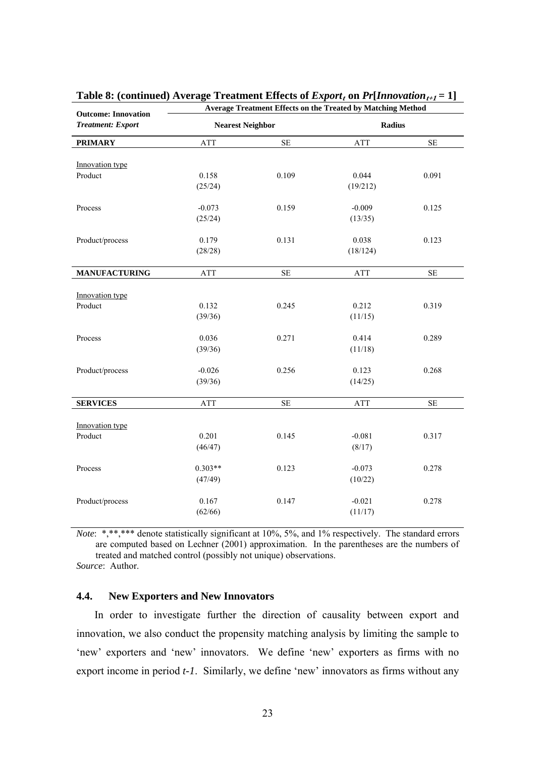| <b>Outcome: Innovation</b> | Average Treatment Effects on the Treated by Matching Method |          |                     |          |  |  |
|----------------------------|-------------------------------------------------------------|----------|---------------------|----------|--|--|
| <b>Treatment: Export</b>   | <b>Nearest Neighbor</b>                                     |          | <b>Radius</b>       |          |  |  |
| <b>PRIMARY</b>             | <b>ATT</b>                                                  | $\rm SE$ | ATT                 | $\rm SE$ |  |  |
| Innovation type            |                                                             |          |                     |          |  |  |
| Product                    | 0.158<br>(25/24)                                            | 0.109    | 0.044<br>(19/212)   | 0.091    |  |  |
| Process                    | $-0.073$<br>(25/24)                                         | 0.159    | $-0.009$<br>(13/35) | 0.125    |  |  |
| Product/process            | 0.179<br>(28/28)                                            | 0.131    | 0.038<br>(18/124)   | 0.123    |  |  |
| <b>MANUFACTURING</b>       | ATT                                                         | $\rm SE$ | ATT                 | $\rm SE$ |  |  |
| Innovation type<br>Product | 0.132<br>(39/36)                                            | 0.245    | 0.212<br>(11/15)    | 0.319    |  |  |
| Process                    | 0.036<br>(39/36)                                            | 0.271    | 0.414<br>(11/18)    | 0.289    |  |  |
| Product/process            | $-0.026$<br>(39/36)                                         | 0.256    | 0.123<br>(14/25)    | 0.268    |  |  |
| <b>SERVICES</b>            | ATT                                                         | $\rm SE$ | ATT                 | $\rm SE$ |  |  |
| Innovation type<br>Product | 0.201<br>(46/47)                                            | 0.145    | $-0.081$<br>(8/17)  | 0.317    |  |  |
| Process                    | $0.303**$<br>(47/49)                                        | 0.123    | $-0.073$<br>(10/22) | 0.278    |  |  |
| Product/process            | 0.167<br>(62/66)                                            | 0.147    | $-0.021$<br>(11/17) | 0.278    |  |  |

| Table 8: (continued) Average Treatment Effects of $Expertt$ on $Pr[Innovationt+1 = 1]$ |  |  |
|----------------------------------------------------------------------------------------|--|--|
|----------------------------------------------------------------------------------------|--|--|

*Note*: \*,\*\*,\*\*\* denote statistically significant at 10%, 5%, and 1% respectively. The standard errors are computed based on Lechner (2001) approximation. In the parentheses are the numbers of treated and matched control (possibly not unique) observations.

*Source*: Author.

### **4.4. New Exporters and New Innovators**

In order to investigate further the direction of causality between export and innovation, we also conduct the propensity matching analysis by limiting the sample to 'new' exporters and 'new' innovators. We define 'new' exporters as firms with no export income in period *t-1*. Similarly, we define 'new' innovators as firms without any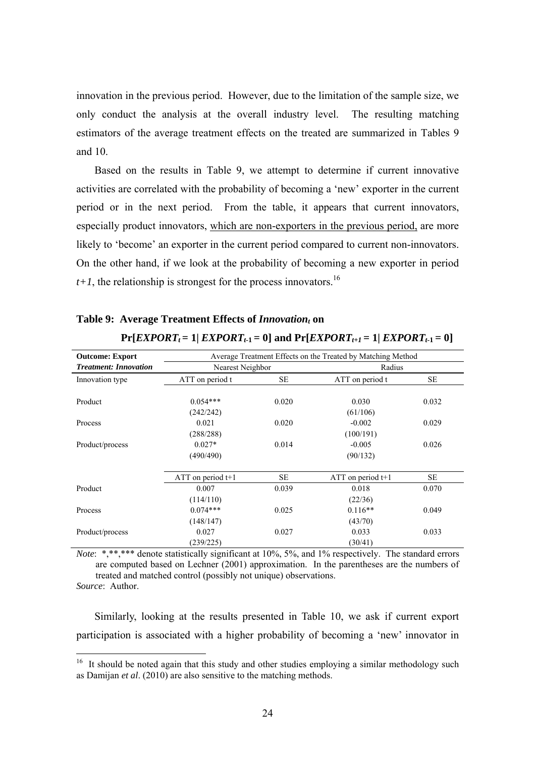innovation in the previous period. However, due to the limitation of the sample size, we only conduct the analysis at the overall industry level. The resulting matching estimators of the average treatment effects on the treated are summarized in Tables 9 and 10.

Based on the results in Table 9, we attempt to determine if current innovative activities are correlated with the probability of becoming a 'new' exporter in the current period or in the next period. From the table, it appears that current innovators, especially product innovators, which are non-exporters in the previous period, are more likely to 'become' an exporter in the current period compared to current non-innovators. On the other hand, if we look at the probability of becoming a new exporter in period  $t+1$ , the relationship is strongest for the process innovators.<sup>16</sup>

| Average Treatment Effects on the Treated by Matching Method<br><b>Outcome: Export</b> |                         |           |                       |           |  |  |  |  |  |
|---------------------------------------------------------------------------------------|-------------------------|-----------|-----------------------|-----------|--|--|--|--|--|
| <b>Treatment: Innovation</b>                                                          | Nearest Neighbor        |           | Radius                |           |  |  |  |  |  |
| Innovation type                                                                       | ATT on period t         | <b>SE</b> | ATT on period t       | <b>SE</b> |  |  |  |  |  |
| Product                                                                               | $0.054***$<br>(242/242) | 0.020     | 0.030<br>(61/106)     | 0.032     |  |  |  |  |  |
| Process                                                                               | 0.021<br>(288/288)      | 0.020     | $-0.002$<br>(100/191) | 0.029     |  |  |  |  |  |
| Product/process                                                                       | $0.027*$<br>(490/490)   | 0.014     |                       | 0.026     |  |  |  |  |  |
|                                                                                       | ATT on period $t+1$     | <b>SE</b> | ATT on period $t+1$   | <b>SE</b> |  |  |  |  |  |
| Product                                                                               | 0.007<br>(114/110)      | 0.039     | 0.018<br>(22/36)      | 0.070     |  |  |  |  |  |
| Process                                                                               | $0.074***$<br>(148/147) | 0.025     | $0.116**$<br>(43/70)  | 0.049     |  |  |  |  |  |
| Product/process                                                                       | 0.027<br>(239/225)      | 0.027     | 0.033<br>(30/41)      | 0.033     |  |  |  |  |  |

# Table 9: Average Treatment Effects of *Innovation*<sub>t</sub> on

### $Pr[EXPORT_t = 1| EXPORT_{t-1} = 0]$  and  $Pr[EXPORT_{t+1} = 1| EXPORT_{t-1} = 0]$

*Note*: \*,\*\*,\*\*\* denote statistically significant at 10%, 5%, and 1% respectively. The standard errors are computed based on Lechner (2001) approximation. In the parentheses are the numbers of treated and matched control (possibly not unique) observations. *Source*: Author.

 $\overline{a}$ 

Similarly, looking at the results presented in Table 10, we ask if current export participation is associated with a higher probability of becoming a 'new' innovator in

 $16$  It should be noted again that this study and other studies employing a similar methodology such as Damijan *et al*. (2010) are also sensitive to the matching methods.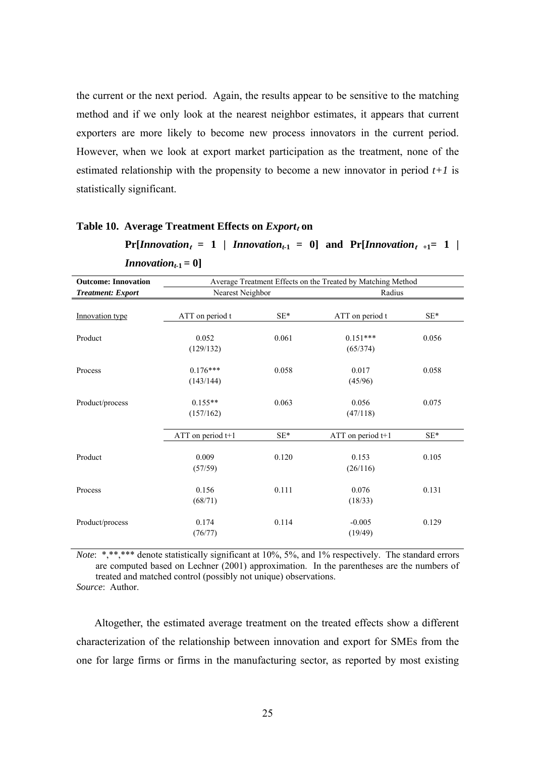the current or the next period. Again, the results appear to be sensitive to the matching method and if we only look at the nearest neighbor estimates, it appears that current exporters are more likely to become new process innovators in the current period. However, when we look at export market participation as the treatment, none of the estimated relationship with the propensity to become a new innovator in period  $t+1$  is statistically significant.

#### **Table 10. Average Treatment Effects on**  $\text{Export}_t$  **on**

**Pr**[*Innovation<sub>t</sub>* = 1 | *Innovation*<sub>t-1</sub> = 0] and Pr[*Innovation*<sub>t+1</sub> = 1 |

| <b>Outcome: Innovation</b> |                                 | Average Treatment Effects on the Treated by Matching Method |                        |       |  |  |  |  |
|----------------------------|---------------------------------|-------------------------------------------------------------|------------------------|-------|--|--|--|--|
| <b>Treatment: Export</b>   | Nearest Neighbor                |                                                             | Radius                 |       |  |  |  |  |
| Innovation type            | ATT on period t                 | $SE*$                                                       | ATT on period t        | $SE*$ |  |  |  |  |
| Product                    | 0.052<br>(129/132)              | 0.061                                                       | $0.151***$<br>(65/374) | 0.056 |  |  |  |  |
| Process                    | $0.176***$<br>(143/144)         | 0.058                                                       | 0.017<br>(45/96)       | 0.058 |  |  |  |  |
| Product/process            | $0.155**$<br>0.063<br>(157/162) |                                                             | 0.075                  |       |  |  |  |  |
|                            | ATT on period t+1               | $SE*$                                                       | ATT on period t+1      | $SE*$ |  |  |  |  |
| Product                    | 0.009<br>(57/59)                | 0.120                                                       | 0.153<br>(26/116)      | 0.105 |  |  |  |  |
| Process                    | 0.156<br>(68/71)                | 0.111                                                       | 0.076<br>(18/33)       | 0.131 |  |  |  |  |
| Product/process            | 0.174<br>(76/77)                | 0.114                                                       | $-0.005$<br>(19/49)    | 0.129 |  |  |  |  |

*Innovation*<sub>t-1</sub> = 0]

*Note*: \*,\*\*,\*\*\* denote statistically significant at 10%, 5%, and 1% respectively. The standard errors are computed based on Lechner (2001) approximation. In the parentheses are the numbers of treated and matched control (possibly not unique) observations. *Source*: Author.

Altogether, the estimated average treatment on the treated effects show a different characterization of the relationship between innovation and export for SMEs from the one for large firms or firms in the manufacturing sector, as reported by most existing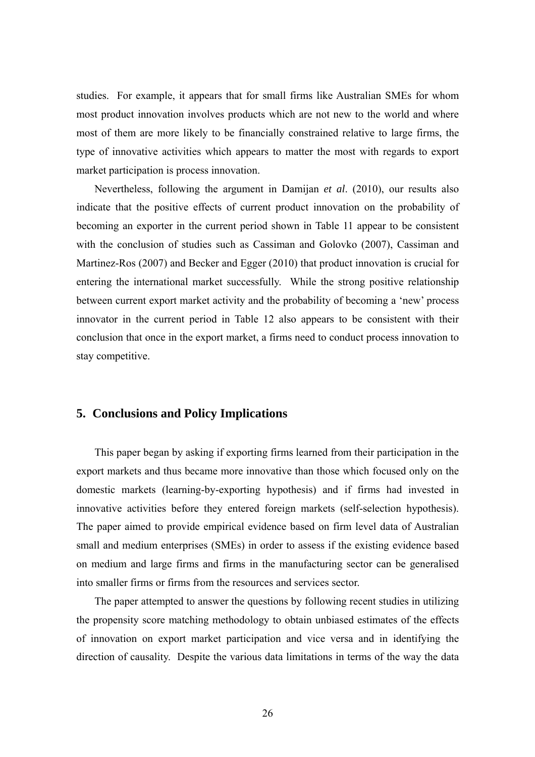studies. For example, it appears that for small firms like Australian SMEs for whom most product innovation involves products which are not new to the world and where most of them are more likely to be financially constrained relative to large firms, the type of innovative activities which appears to matter the most with regards to export market participation is process innovation.

Nevertheless, following the argument in Damijan *et al*. (2010), our results also indicate that the positive effects of current product innovation on the probability of becoming an exporter in the current period shown in Table 11 appear to be consistent with the conclusion of studies such as Cassiman and Golovko (2007), Cassiman and Martinez-Ros (2007) and Becker and Egger (2010) that product innovation is crucial for entering the international market successfully. While the strong positive relationship between current export market activity and the probability of becoming a 'new' process innovator in the current period in Table 12 also appears to be consistent with their conclusion that once in the export market, a firms need to conduct process innovation to stay competitive.

# **5. Conclusions and Policy Implications**

This paper began by asking if exporting firms learned from their participation in the export markets and thus became more innovative than those which focused only on the domestic markets (learning-by-exporting hypothesis) and if firms had invested in innovative activities before they entered foreign markets (self-selection hypothesis). The paper aimed to provide empirical evidence based on firm level data of Australian small and medium enterprises (SMEs) in order to assess if the existing evidence based on medium and large firms and firms in the manufacturing sector can be generalised into smaller firms or firms from the resources and services sector.

The paper attempted to answer the questions by following recent studies in utilizing the propensity score matching methodology to obtain unbiased estimates of the effects of innovation on export market participation and vice versa and in identifying the direction of causality. Despite the various data limitations in terms of the way the data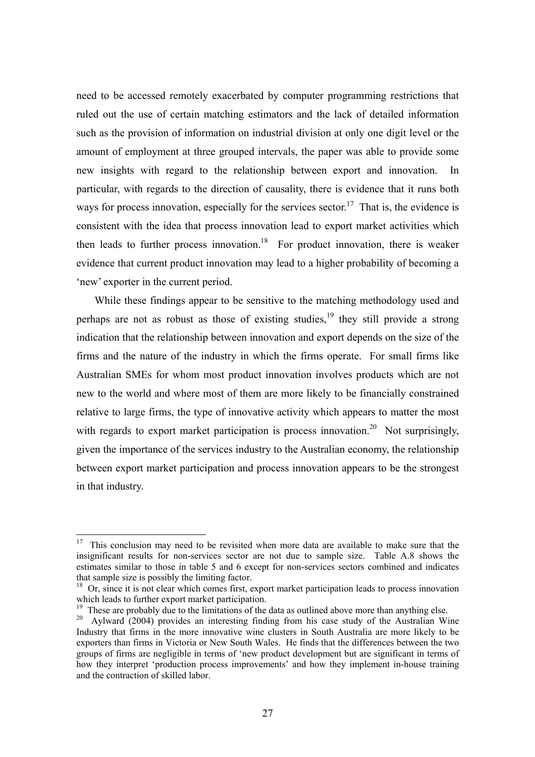need to be accessed remotely exacerbated by computer programming restrictions that ruled out the use of certain matching estimators and the lack of detailed information such as the provision of information on industrial division at only one digit level or the amount of employment at three grouped intervals, the paper was able to provide some new insights with regard to the relationship between export and innovation. In particular, with regards to the direction of causality, there is evidence that it runs both ways for process innovation, especially for the services sector.<sup>17</sup> That is, the evidence is consistent with the idea that process innovation lead to export market activities which then leads to further process innovation.<sup>18</sup> For product innovation, there is weaker evidence that current product innovation may lead to a higher probability of becoming a 'new' exporter in the current period.

While these findings appear to be sensitive to the matching methodology used and perhaps are not as robust as those of existing studies,  $\frac{19}{12}$  they still provide a strong indication that the relationship between innovation and export depends on the size of the firms and the nature of the industry in which the firms operate. For small firms like Australian SMEs for whom most product innovation involves products which are not new to the world and where most of them are more likely to be financially constrained relative to large firms, the type of innovative activity which appears to matter the most with regards to export market participation is process innovation.<sup>20</sup> Not surprisingly, given the importance of the services industry to the Australian economy, the relationship between export market participation and process innovation appears to be the strongest in that industry.

 $\overline{a}$ 

 $17$  This conclusion may need to be revisited when more data are available to make sure that the insignificant results for non-services sector are not due to sample size. Table A.8 shows the estimates similar to those in table 5 and 6 except for non-services sectors combined and indicates that sample size is possibly the limiting factor.

<sup>&</sup>lt;sup>18</sup> Or, since it is not clear which comes first, export market participation leads to process innovation which leads to further export market participation.

<sup>&</sup>lt;sup>19</sup> These are probably due to the limitations of the data as outlined above more than anything else.

 $20$  Aylward (2004) provides an interesting finding from his case study of the Australian Wine Industry that firms in the more innovative wine clusters in South Australia are more likely to be exporters than firms in Victoria or New South Wales. He finds that the differences between the two groups of firms are negligible in terms of 'new product development but are significant in terms of how they interpret 'production process improvements' and how they implement in-house training and the contraction of skilled labor.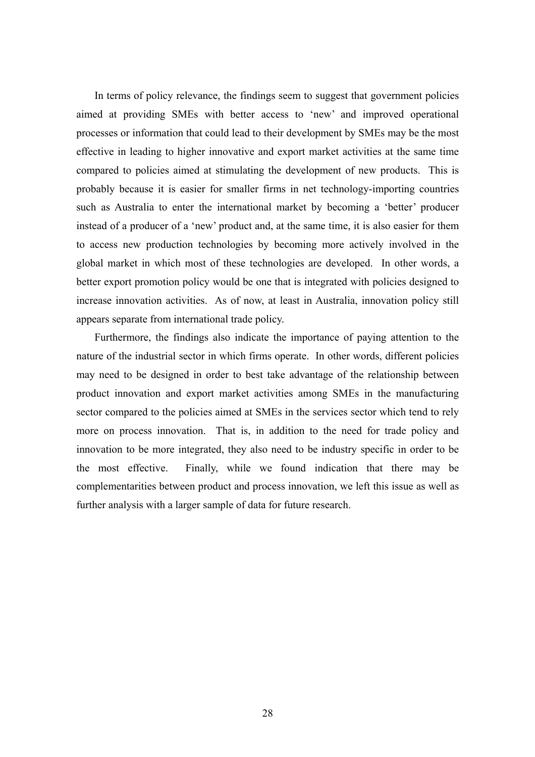In terms of policy relevance, the findings seem to suggest that government policies aimed at providing SMEs with better access to 'new' and improved operational processes or information that could lead to their development by SMEs may be the most effective in leading to higher innovative and export market activities at the same time compared to policies aimed at stimulating the development of new products. This is probably because it is easier for smaller firms in net technology-importing countries such as Australia to enter the international market by becoming a 'better' producer instead of a producer of a 'new' product and, at the same time, it is also easier for them to access new production technologies by becoming more actively involved in the global market in which most of these technologies are developed. In other words, a better export promotion policy would be one that is integrated with policies designed to increase innovation activities. As of now, at least in Australia, innovation policy still appears separate from international trade policy.

Furthermore, the findings also indicate the importance of paying attention to the nature of the industrial sector in which firms operate. In other words, different policies may need to be designed in order to best take advantage of the relationship between product innovation and export market activities among SMEs in the manufacturing sector compared to the policies aimed at SMEs in the services sector which tend to rely more on process innovation. That is, in addition to the need for trade policy and innovation to be more integrated, they also need to be industry specific in order to be the most effective. Finally, while we found indication that there may be complementarities between product and process innovation, we left this issue as well as further analysis with a larger sample of data for future research.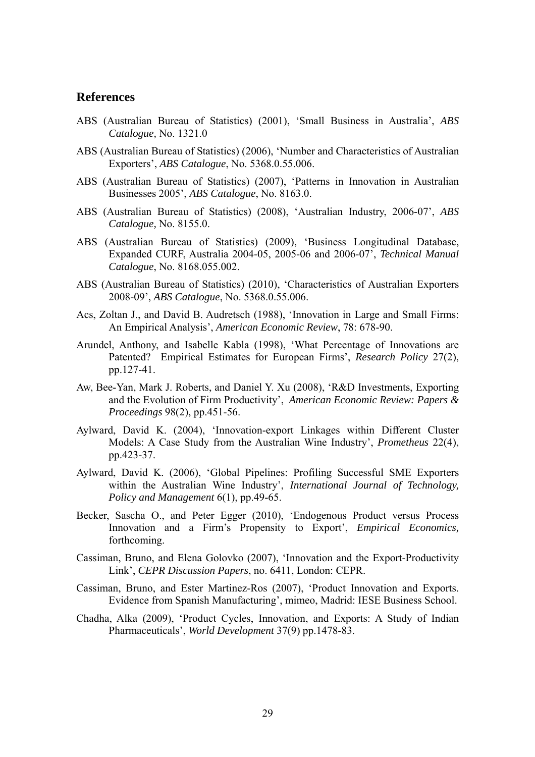# **References**

- ABS (Australian Bureau of Statistics) (2001), 'Small Business in Australia', *ABS Catalogue,* No. 1321.0
- ABS (Australian Bureau of Statistics) (2006), 'Number and Characteristics of Australian Exporters', *ABS Catalogue*, No. 5368.0.55.006.
- ABS (Australian Bureau of Statistics) (2007), 'Patterns in Innovation in Australian Businesses 2005', *ABS Catalogue*, No. 8163.0.
- ABS (Australian Bureau of Statistics) (2008), 'Australian Industry, 2006-07', *ABS Catalogue,* No. 8155.0.
- ABS (Australian Bureau of Statistics) (2009), 'Business Longitudinal Database, Expanded CURF, Australia 2004-05, 2005-06 and 2006-07', *Technical Manual Catalogue*, No. 8168.055.002.
- ABS (Australian Bureau of Statistics) (2010), 'Characteristics of Australian Exporters 2008-09', *ABS Catalogue*, No. 5368.0.55.006.
- Acs, Zoltan J., and David B. Audretsch (1988), 'Innovation in Large and Small Firms: An Empirical Analysis', *American Economic Review*, 78: 678-90.
- Arundel, Anthony, and Isabelle Kabla (1998), 'What Percentage of Innovations are Patented? Empirical Estimates for European Firms', *Research Policy* 27(2), pp.127-41.
- Aw, Bee-Yan, Mark J. Roberts, and Daniel Y. Xu (2008), 'R&D Investments, Exporting and the Evolution of Firm Productivity', *American Economic Review: Papers & Proceedings* 98(2), pp.451-56.
- Aylward, David K. (2004), 'Innovation-export Linkages within Different Cluster Models: A Case Study from the Australian Wine Industry', *Prometheus* 22(4), pp.423-37.
- Aylward, David K. (2006), 'Global Pipelines: Profiling Successful SME Exporters within the Australian Wine Industry', *International Journal of Technology, Policy and Management* 6(1), pp.49-65.
- Becker, Sascha O., and Peter Egger (2010), 'Endogenous Product versus Process Innovation and a Firm's Propensity to Export', *Empirical Economics,*  forthcoming.
- Cassiman, Bruno, and Elena Golovko (2007), 'Innovation and the Export-Productivity Link', *CEPR Discussion Papers*, no. 6411, London: CEPR.
- Cassiman, Bruno, and Ester Martinez-Ros (2007), 'Product Innovation and Exports. Evidence from Spanish Manufacturing', mimeo, Madrid: IESE Business School.
- Chadha, Alka (2009), 'Product Cycles, Innovation, and Exports: A Study of Indian Pharmaceuticals', *World Development* 37(9) pp.1478-83.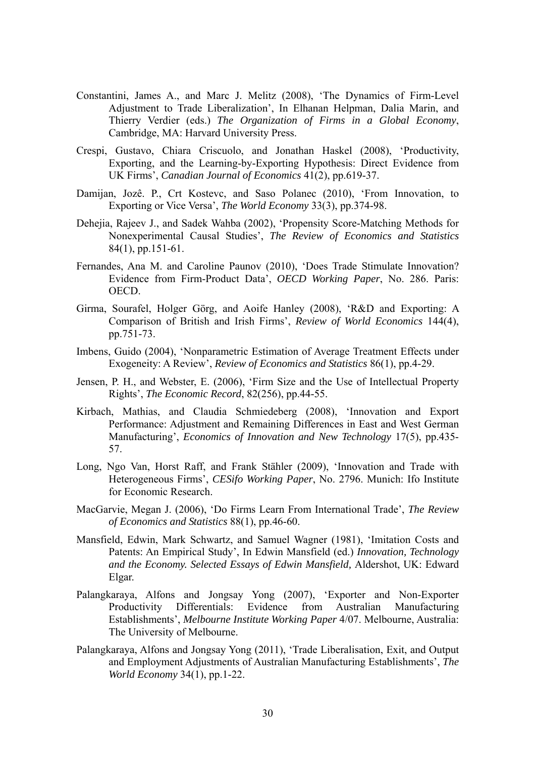- Constantini, James A., and Marc J. Melitz (2008), 'The Dynamics of Firm-Level Adjustment to Trade Liberalization', In Elhanan Helpman, Dalia Marin, and Thierry Verdier (eds.) *The Organization of Firms in a Global Economy*, Cambridge, MA: Harvard University Press.
- Crespi, Gustavo, Chiara Criscuolo, and Jonathan Haskel (2008), 'Productivity, Exporting, and the Learning-by-Exporting Hypothesis: Direct Evidence from UK Firms', *Canadian Journal of Economics* 41(2), pp.619-37.
- Damijan, Jozê. P., Crt Kostevc, and Saso Polanec (2010), 'From Innovation, to Exporting or Vice Versa', *The World Economy* 33(3), pp.374-98.
- Dehejia, Rajeev J., and Sadek Wahba (2002), 'Propensity Score-Matching Methods for Nonexperimental Causal Studies', *The Review of Economics and Statistics* 84(1), pp.151-61.
- Fernandes, Ana M. and Caroline Paunov (2010), 'Does Trade Stimulate Innovation? Evidence from Firm-Product Data', *OECD Working Paper*, No. 286. Paris: OECD.
- Girma, Sourafel, Holger Görg, and Aoife Hanley (2008), 'R&D and Exporting: A Comparison of British and Irish Firms', *Review of World Economics* 144(4), pp.751-73.
- Imbens, Guido (2004), 'Nonparametric Estimation of Average Treatment Effects under Exogeneity: A Review', *Review of Economics and Statistics* 86(1), pp.4-29.
- Jensen, P. H., and Webster, E. (2006), 'Firm Size and the Use of Intellectual Property Rights', *The Economic Record*, 82(256), pp.44-55.
- Kirbach, Mathias, and Claudia Schmiedeberg (2008), 'Innovation and Export Performance: Adjustment and Remaining Differences in East and West German Manufacturing', *Economics of Innovation and New Technology* 17(5), pp.435- 57.
- Long, Ngo Van, Horst Raff, and Frank Stähler (2009), 'Innovation and Trade with Heterogeneous Firms', *CESifo Working Paper*, No. 2796. Munich: Ifo Institute for Economic Research.
- MacGarvie, Megan J. (2006), 'Do Firms Learn From International Trade', *The Review of Economics and Statistics* 88(1), pp.46-60.
- Mansfield, Edwin, Mark Schwartz, and Samuel Wagner (1981), 'Imitation Costs and Patents: An Empirical Study', In Edwin Mansfield (ed.) *Innovation, Technology and the Economy. Selected Essays of Edwin Mansfield,* Aldershot, UK: Edward Elgar.
- Palangkaraya, Alfons and Jongsay Yong (2007), 'Exporter and Non-Exporter Productivity Differentials: Evidence from Australian Manufacturing Establishments', *Melbourne Institute Working Paper* 4/07. Melbourne, Australia: The University of Melbourne.
- Palangkaraya, Alfons and Jongsay Yong (2011), 'Trade Liberalisation, Exit, and Output and Employment Adjustments of Australian Manufacturing Establishments', *The World Economy* 34(1), pp.1-22.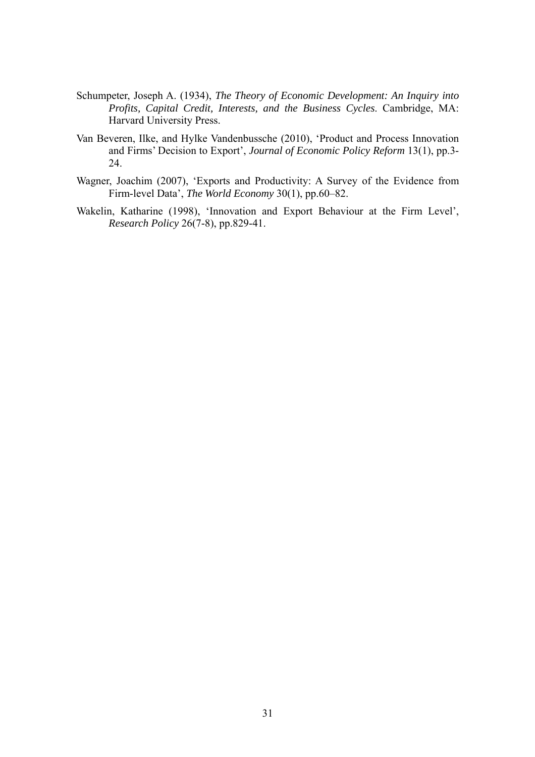- Schumpeter, Joseph A. (1934), *The Theory of Economic Development: An Inquiry into Profits, Capital Credit, Interests, and the Business Cycles*. Cambridge, MA: Harvard University Press.
- Van Beveren, Ilke, and Hylke Vandenbussche (2010), 'Product and Process Innovation and Firms' Decision to Export', *Journal of Economic Policy Reform* 13(1), pp.3- 24.
- Wagner, Joachim (2007), 'Exports and Productivity: A Survey of the Evidence from Firm-level Data', *The World Economy* 30(1), pp.60–82.
- Wakelin, Katharine (1998), 'Innovation and Export Behaviour at the Firm Level', *Research Policy* 26(7-8), pp.829-41.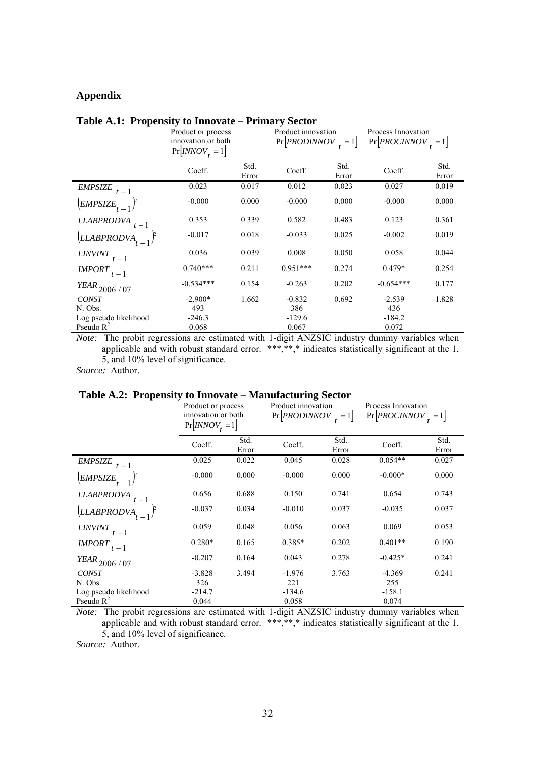# **Appendix**

|                                   | Product or process<br>innovation or both<br>$Pr[INNOV_t = 1]$ |               |            | Product innovation<br>$Pr[PRODINNOV] = 1]$ |             | Process Innovation<br>$Pr[PROCINNOV_{+} = 1]$ |
|-----------------------------------|---------------------------------------------------------------|---------------|------------|--------------------------------------------|-------------|-----------------------------------------------|
|                                   | Coeff.                                                        | Std.<br>Error | Coeff.     | Std.<br>Error                              | Coeff.      | Std.<br>Error                                 |
| EMPSIZE<br>$t-1$                  | 0.023                                                         | 0.017         | 0.012      | 0.023                                      | 0.027       | 0.019                                         |
| $\left[EMPSIZE_{t-1}\right]^{2}$  | $-0.000$                                                      | 0.000         | $-0.000$   | 0.000                                      | $-0.000$    | 0.000                                         |
| <b>LLABPRODVA</b>                 | 0.353                                                         | 0.339         | 0.582      | 0.483                                      | 0.123       | 0.361                                         |
| $\left(LLABPRODVA_{t-1}\right)^p$ | $-0.017$                                                      | 0.018         | $-0.033$   | 0.025                                      | $-0.002$    | 0.019                                         |
| $LINVINT$ <sub>t-1</sub>          | 0.036                                                         | 0.039         | 0.008      | 0.050                                      | 0.058       | 0.044                                         |
| $IMPORT_{t-1}$                    | $0.740***$                                                    | 0.211         | $0.951***$ | 0.274                                      | $0.479*$    | 0.254                                         |
| $\textit{YEAR}_{2006$ / 07        | $-0.534***$                                                   | 0.154         | $-0.263$   | 0.202                                      | $-0.654***$ | 0.177                                         |
| <b>CONST</b>                      | $-2.900*$                                                     | 1.662         | $-0.832$   | 0.692                                      | $-2.539$    | 1.828                                         |
| N. Obs.                           | 493                                                           |               | 386        |                                            | 436         |                                               |
| Log pseudo likelihood             | $-246.3$                                                      |               | $-129.6$   |                                            | $-184.2$    |                                               |
| Pseudo $R^2$                      | 0.068                                                         |               | 0.067      |                                            | 0.072       |                                               |

### **Table A.1: Propensity to Innovate – Primary Sector**

*Note:* The probit regressions are estimated with 1-digit ANZSIC industry dummy variables when applicable and with robust standard error. \*\*\*,\*\*,\* indicates statistically significant at the 1, 5, and 10% level of significance.

*Source:* Author.

### **Table A.2: Propensity to Innovate – Manufacturing Sector**

|                          | Product or process<br>innovation or both<br>$Pr[INNOV_t = 1]$ |               | Product innovation<br>Pr PRODINNOV <br>$=1$ |               | Process Innovation<br>$Pr[PROCINNOV] = 1]$ |               |
|--------------------------|---------------------------------------------------------------|---------------|---------------------------------------------|---------------|--------------------------------------------|---------------|
|                          | Coeff.                                                        | Std.<br>Error | Coeff.                                      | Std.<br>Error | Coeff.                                     | Std.<br>Error |
| <b>EMPSIZE</b><br>$-1$   | 0.025                                                         | 0.022         | 0.045                                       | 0.028         | $0.054**$                                  | 0.027         |
| $EMPSIZE_{t-1}$          | $-0.000$                                                      | 0.000         | $-0.000$                                    | 0.000         | $-0.000*$                                  | 0.000         |
| <b>LLABPRODVA</b>        | 0.656                                                         | 0.688         | 0.150                                       | 0.741         | 0.654                                      | 0.743         |
| LLABPRODVA               | $-0.037$                                                      | 0.034         | $-0.010$                                    | 0.037         | $-0.035$                                   | 0.037         |
| <b>LINVINT</b><br>$t-1$  | 0.059                                                         | 0.048         | 0.056                                       | 0.063         | 0.069                                      | 0.053         |
| <b>IMPORT</b><br>$t-1$   | $0.280*$                                                      | 0.165         | $0.385*$                                    | 0.202         | $0.401**$                                  | 0.190         |
| $\emph{YEAR}_{2006$ / 07 | $-0.207$                                                      | 0.164         | 0.043                                       | 0.278         | $-0.425*$                                  | 0.241         |
| <b>CONST</b>             | $-3.828$                                                      | 3.494         | $-1.976$                                    | 3.763         | $-4.369$                                   | 0.241         |
| N. Obs.                  | 326                                                           |               | 221                                         |               | 255                                        |               |
| Log pseudo likelihood    | $-214.7$                                                      |               | $-134.6$                                    |               | $-158.1$                                   |               |
| Pseudo $R^2$             | 0.044                                                         |               | 0.058                                       |               | 0.074                                      |               |

*Note:* The probit regressions are estimated with 1-digit ANZSIC industry dummy variables when applicable and with robust standard error. \*\*\*,\*\*,\* indicates statistically significant at the 1, 5, and 10% level of significance.

*Source:* Author.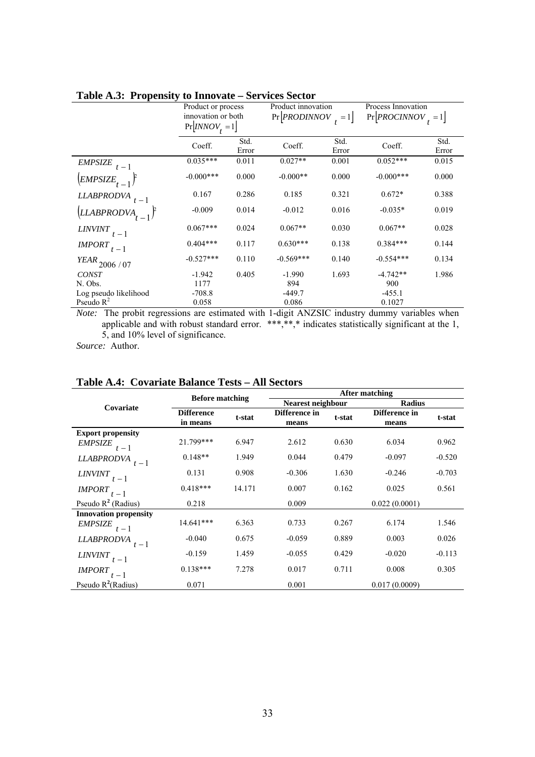|                                   | Product or process<br>innovation or both |               | Product innovation<br>$Pr[PRODINNOV_{+} = 1]$ |               | Process Innovation<br>$Pr[PROCINNOV_{+} = 1]$ |               |
|-----------------------------------|------------------------------------------|---------------|-----------------------------------------------|---------------|-----------------------------------------------|---------------|
|                                   | $Pr[INNOV_t = 1]$                        |               |                                               |               |                                               |               |
|                                   | Coeff.                                   | Std.<br>Error | Coeff.                                        | Std.<br>Error | Coeff.                                        | Std.<br>Error |
| <b>EMPSIZE</b><br>$-1$            | $0.035***$                               | 0.011         | $0.027**$                                     | 0.001         | $0.052***$                                    | 0.015         |
| $\left[EMPSIZE_{t-1}\right]^{p}$  | $-0.000***$                              | 0.000         | $-0.000**$                                    | 0.000         | $-0.000***$                                   | 0.000         |
| <b>LLABPRODVA</b>                 | 0.167                                    | 0.286         | 0.185                                         | 0.321         | $0.672*$                                      | 0.388         |
| $\left(LLABPRODVA_{t-1}\right)^p$ | $-0.009$                                 | 0.014         | $-0.012$                                      | 0.016         | $-0.035*$                                     | 0.019         |
| <b>LINVINT</b><br>$t-1$           | $0.067***$                               | 0.024         | $0.067**$                                     | 0.030         | $0.067**$                                     | 0.028         |
| <i>IMPORT</i><br>$t-1$            | $0.404***$                               | 0.117         | $0.630***$                                    | 0.138         | $0.384***$                                    | 0.144         |
| $\emph{YEAR}_{2006$ / 07          | $-0.527***$                              | 0.110         | $-0.569***$                                   | 0.140         | $-0.554***$                                   | 0.134         |
| <b>CONST</b>                      | $-1.942$                                 | 0.405         | $-1.990$                                      | 1.693         | $-4.742**$                                    | 1.986         |
| N. Obs.                           | 1177                                     |               | 894                                           |               | 900                                           |               |
| Log pseudo likelihood             | $-708.8$                                 |               | $-449.7$                                      |               | $-455.1$                                      |               |
| Pseudo $R^2$                      | 0.058                                    |               | 0.086                                         |               | 0.1027                                        |               |

# **Table A.3: Propensity to Innovate – Services Sector**

*Note:* The probit regressions are estimated with 1-digit ANZSIC industry dummy variables when applicable and with robust standard error. \*\*\*,\*\*,\* indicates statistically significant at the 1, 5, and 10% level of significance.

*Source:* Author.

|                               | <b>Before matching</b>        |        | After matching         |        |                        |          |  |
|-------------------------------|-------------------------------|--------|------------------------|--------|------------------------|----------|--|
| Covariate                     |                               |        | Nearest neighbour      |        | <b>Radius</b>          |          |  |
|                               | <b>Difference</b><br>in means | t-stat | Difference in<br>means | t-stat | Difference in<br>means | t-stat   |  |
| <b>Export propensity</b>      |                               |        |                        |        |                        |          |  |
| <b>EMPSIZE</b><br>$t-1$       | 21.799***                     | 6.947  | 2.612                  | 0.630  | 6.034                  | 0.962    |  |
| <b>LLABPRODVA</b><br>$t-1$    | $0.148**$                     | 1.949  | 0.044                  | 0.479  | $-0.097$               | $-0.520$ |  |
| <b>LINVINT</b><br>$t-1$       | 0.131                         | 0.908  | $-0.306$               | 1.630  | $-0.246$               | $-0.703$ |  |
| <i><b>IMPORT</b></i><br>$t-1$ | $0.418***$                    | 14.171 | 0.007                  | 0.162  | 0.025                  | 0.561    |  |
| Pseudo $R^2$ (Radius)         | 0.218                         |        | 0.009                  |        | 0.022(0.0001)          |          |  |
| <b>Innovation propensity</b>  |                               |        |                        |        |                        |          |  |
| <b>EMPSIZE</b><br>$t-1$       | $14.641***$                   | 6.363  | 0.733                  | 0.267  | 6.174                  | 1.546    |  |
| <b>LLABPRODVA</b><br>$t-1$    | $-0.040$                      | 0.675  | $-0.059$               | 0.889  | 0.003                  | 0.026    |  |
| $LINVINT$ <sub>t-1</sub>      | $-0.159$                      | 1.459  | $-0.055$               | 0.429  | $-0.020$               | $-0.113$ |  |
| <i><b>IMPORT</b></i><br>$t-1$ | $0.138***$                    | 7.278  | 0.017                  | 0.711  | 0.008                  | 0.305    |  |
| Pseudo $R^2(Radius)$          | 0.071                         |        | 0.001                  |        | 0.017(0.0009)          |          |  |

# **Table A.4: Covariate Balance Tests – All Sectors**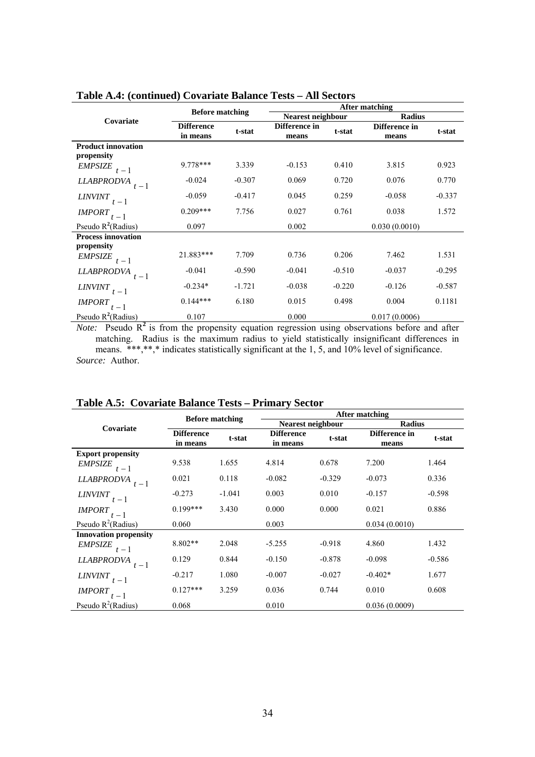|                                         |                               |          | <b>After matching</b>  |          |                        |          |
|-----------------------------------------|-------------------------------|----------|------------------------|----------|------------------------|----------|
| Covariate                               | <b>Before matching</b>        |          | Nearest neighbour      |          | <b>Radius</b>          |          |
|                                         | <b>Difference</b><br>in means | t-stat   | Difference in<br>means | t-stat   | Difference in<br>means | t-stat   |
| <b>Product innovation</b><br>propensity |                               |          |                        |          |                        |          |
| <b>EMPSIZE</b><br>$t-1$                 | $9778***$                     | 3.339    | $-0.153$               | 0.410    | 3.815                  | 0.923    |
| <i><b>LLABPRODVA</b></i><br>$t-1$       | $-0.024$                      | $-0.307$ | 0.069                  | 0.720    | 0.076                  | 0.770    |
| <i>LINVINT</i><br>$t-1$                 | $-0.059$                      | $-0.417$ | 0.045                  | 0.259    | $-0.058$               | $-0.337$ |
| <i><b>IMPORT</b></i><br>$t-1$           | $0.209***$                    | 7.756    | 0.027                  | 0.761    | 0.038                  | 1.572    |
| Pseudo $R^2$ (Radius)                   | 0.097                         |          | 0.002                  |          | 0.030(0.0010)          |          |
| <b>Process innovation</b>               |                               |          |                        |          |                        |          |
| propensity                              |                               |          |                        |          |                        |          |
| EMPSIZE $t-1$                           | 21.883***                     | 7.709    | 0.736                  | 0.206    | 7.462                  | 1.531    |
| <b>LLABPRODVA</b><br>$t-1$              | $-0.041$                      | $-0.590$ | $-0.041$               | $-0.510$ | $-0.037$               | $-0.295$ |
| <b>LINVINT</b><br>$t-1$                 | $-0.234*$                     | $-1.721$ | $-0.038$               | $-0.220$ | $-0.126$               | $-0.587$ |
| <b>IMPORT</b><br>$t-1$                  | $0.144***$                    | 6.180    | 0.015                  | 0.498    | 0.004                  | 0.1181   |
| Pseudo $R^2$ (Radius)                   | 0.107                         |          | 0.000                  |          | 0.017(0.0006)          |          |

### **Table A.4: (continued) Covariate Balance Tests – All Sectors**

*Note:* Pseudo  $R^2$  is from the propensity equation regression using observations before and after matching. Radius is the maximum radius to yield statistically insignificant differences in means. \*\*\*,\*\*,\* indicates statistically significant at the 1, 5, and 10% level of significance. *Source:* Author.

|                               | <b>Before matching</b>        |          | After matching                |          |                        |          |  |
|-------------------------------|-------------------------------|----------|-------------------------------|----------|------------------------|----------|--|
| Covariate                     |                               |          | <b>Nearest neighbour</b>      |          | <b>Radius</b>          |          |  |
|                               | <b>Difference</b><br>in means | t-stat   | <b>Difference</b><br>in means | t-stat   | Difference in<br>means | t-stat   |  |
| <b>Export propensity</b>      |                               |          |                               |          |                        |          |  |
| <b>EMPSIZE</b><br>$t-1$       | 9.538                         | 1.655    | 4.814                         | 0.678    | 7.200                  | 1.464    |  |
| <b>LLABPRODVA</b><br>$t-1$    | 0.021                         | 0.118    | $-0.082$                      | $-0.329$ | $-0.073$               | 0.336    |  |
| <b>LINVINT</b><br>$t-1$       | $-0.273$                      | $-1.041$ | 0.003                         | 0.010    | $-0.157$               | $-0.598$ |  |
| <i><b>IMPORT</b></i><br>$t-1$ | $0.199***$                    | 3.430    | 0.000                         | 0.000    | 0.021                  | 0.886    |  |
| Pseudo $R^2$ (Radius)         | 0.060                         |          | 0.003                         |          | 0.034(0.0010)          |          |  |
| <b>Innovation propensity</b>  |                               |          |                               |          |                        |          |  |
| <b>EMPSIZE</b><br>$t-1$       | $8.802**$                     | 2.048    | $-5.255$                      | $-0.918$ | 4.860                  | 1.432    |  |
| <i>LLABPRODVA</i><br>$t-1$    | 0.129                         | 0.844    | $-0.150$                      | $-0.878$ | $-0.098$               | $-0.586$ |  |
| <i>LINVINT</i><br>$t-1$       | $-0.217$                      | 1.080    | $-0.007$                      | $-0.027$ | $-0.402*$              | 1.677    |  |
| <b>IMPORT</b><br>$t-1$        | $0.127***$                    | 3.259    | 0.036                         | 0.744    | 0.010                  | 0.608    |  |
| Pseudo $R^2$ (Radius)         | 0.068                         |          | 0.010                         |          | 0.036(0.0009)          |          |  |

# **Table A.5: Covariate Balance Tests – Primary Sector**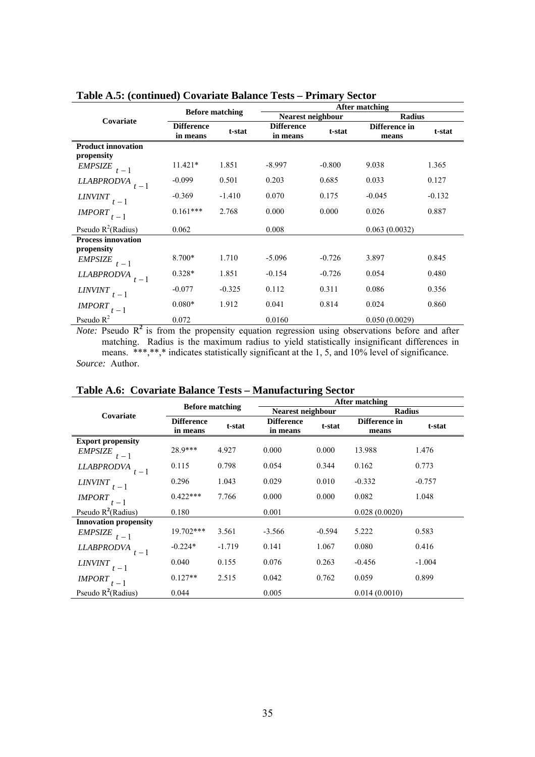|                                         | <b>Before matching</b>        |          | <b>After matching</b>         |          |                        |          |  |
|-----------------------------------------|-------------------------------|----------|-------------------------------|----------|------------------------|----------|--|
| Covariate                               |                               |          | <b>Nearest neighbour</b>      |          | <b>Radius</b>          |          |  |
|                                         | <b>Difference</b><br>in means | t-stat   | <b>Difference</b><br>in means | t-stat   | Difference in<br>means | t-stat   |  |
| <b>Product innovation</b><br>propensity |                               |          |                               |          |                        |          |  |
| <b>EMPSIZE</b><br>$t-1$                 | $11.421*$                     | 1.851    | $-8.997$                      | $-0.800$ | 9.038                  | 1.365    |  |
| <b>LLABPRODVA</b><br>$t-1$              | $-0.099$                      | 0.501    | 0.203                         | 0.685    | 0.033                  | 0.127    |  |
| <b>LINVINT</b><br>$t-1$                 | $-0.369$                      | $-1.410$ | 0.070                         | 0.175    | $-0.045$               | $-0.132$ |  |
| <b>IMPORT</b><br>$t-1$                  | $0.161***$                    | 2.768    | 0.000                         | 0.000    | 0.026                  | 0.887    |  |
| Pseudo $R^2(Radius)$                    | 0.062                         |          | 0.008                         |          | 0.063(0.0032)          |          |  |
| <b>Process innovation</b><br>propensity |                               |          |                               |          |                        |          |  |
| <b>EMPSIZE</b><br>$t-1$                 | 8.700*                        | 1.710    | $-5.096$                      | $-0.726$ | 3.897                  | 0.845    |  |
| <b>LLABPRODVA</b><br>$t-1$              | $0.328*$                      | 1.851    | $-0.154$                      | $-0.726$ | 0.054                  | 0.480    |  |
| <b>LINVINT</b><br>$t-1$                 | $-0.077$                      | $-0.325$ | 0.112                         | 0.311    | 0.086                  | 0.356    |  |
| <i><b>IMPORT</b></i><br>$t-1$           | $0.080*$                      | 1.912    | 0.041                         | 0.814    | 0.024                  | 0.860    |  |
| Pseudo $R^2$                            | 0.072                         |          | 0.0160                        |          | 0.050(0.0029)          |          |  |

**Table A.5: (continued) Covariate Balance Tests – Primary Sector** 

*Note:* Pseudo  $R^2$  is from the propensity equation regression using observations before and after matching. Radius is the maximum radius to yield statistically insignificant differences in means. \*\*\*,\*\*,\* indicates statistically significant at the 1, 5, and 10% level of significance. *Source:* Author.

|                               | <b>Before matching</b>        |          | After matching                |          |                        |          |  |
|-------------------------------|-------------------------------|----------|-------------------------------|----------|------------------------|----------|--|
| Covariate                     |                               |          | Nearest neighbour             |          | <b>Radius</b>          |          |  |
|                               | <b>Difference</b><br>in means | t-stat   | <b>Difference</b><br>in means | t-stat   | Difference in<br>means | t-stat   |  |
| <b>Export propensity</b>      |                               |          |                               |          |                        |          |  |
| <b>EMPSIZE</b><br>$t-1$       | 28.9***                       | 4.927    | 0.000                         | 0.000    | 13.988                 | 1.476    |  |
| <b>LLABPRODVA</b><br>$t-1$    | 0.115                         | 0.798    | 0.054                         | 0.344    | 0.162                  | 0.773    |  |
| <b>LINVINT</b><br>$t-1$       | 0.296                         | 1.043    | 0.029                         | 0.010    | $-0.332$               | $-0.757$ |  |
| <i><b>IMPORT</b></i><br>$t-1$ | $0.422***$                    | 7.766    | 0.000                         | 0.000    | 0.082                  | 1.048    |  |
| Pseudo $R^2(Radius)$          | 0.180                         |          | 0.001                         |          | 0.028(0.0020)          |          |  |
| <b>Innovation propensity</b>  |                               |          |                               |          |                        |          |  |
| <b>EMPSIZE</b><br>$t-1$       | 19.702***                     | 3.561    | $-3.566$                      | $-0.594$ | 5.222                  | 0.583    |  |
| <i>LLABPRODVA</i><br>$t-1$    | $-0.224*$                     | $-1.719$ | 0.141                         | 1.067    | 0.080                  | 0.416    |  |
| <b>LINVINT</b><br>$t-1$       | 0.040                         | 0.155    | 0.076                         | 0.263    | $-0.456$               | $-1.004$ |  |
| <i><b>IMPORT</b></i><br>$t-1$ | $0.127**$                     | 2.515    | 0.042                         | 0.762    | 0.059                  | 0.899    |  |
| Pseudo $R^2$ (Radius)         | 0.044                         |          | 0.005                         |          | 0.014(0.0010)          |          |  |

**Table A.6: Covariate Balance Tests – Manufacturing Sector**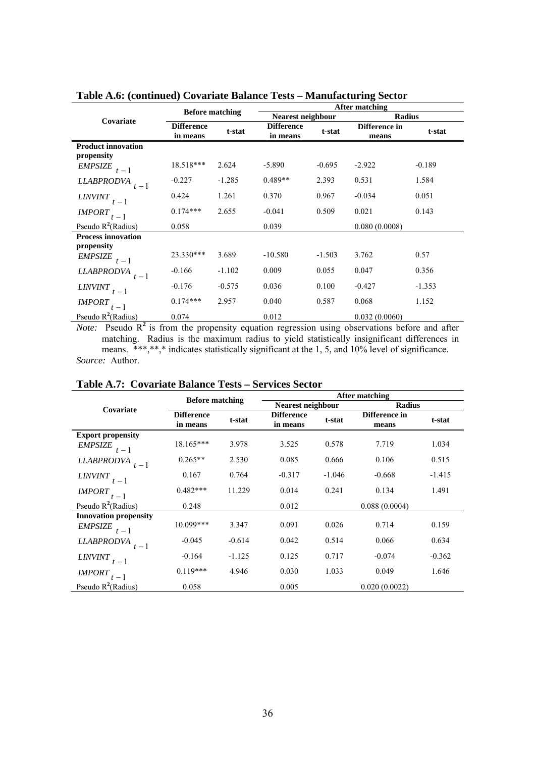|                                         | <b>Before matching</b>        |          | After matching                |          |                        |          |  |
|-----------------------------------------|-------------------------------|----------|-------------------------------|----------|------------------------|----------|--|
| Covariate                               |                               |          | <b>Nearest neighbour</b>      |          | Radius                 |          |  |
|                                         | <b>Difference</b><br>in means | t-stat   | <b>Difference</b><br>in means | t-stat   | Difference in<br>means | t-stat   |  |
| <b>Product innovation</b><br>propensity |                               |          |                               |          |                        |          |  |
| <b>EMPSIZE</b><br>$t-1$                 | 18.518***                     | 2.624    | $-5.890$                      | $-0.695$ | $-2.922$               | $-0.189$ |  |
| <b>LLABPRODVA</b><br>$t-1$              | $-0.227$                      | $-1.285$ | $0.489**$                     | 2.393    | 0.531                  | 1.584    |  |
| <b>LINVINT</b><br>$t-1$                 | 0.424                         | 1.261    | 0.370                         | 0.967    | $-0.034$               | 0.051    |  |
| <b>IMPORT</b><br>$t-1$                  | $0.174***$                    | 2.655    | $-0.041$                      | 0.509    | 0.021                  | 0.143    |  |
| Pseudo $R^2$ (Radius)                   | 0.058                         |          | 0.039                         |          | 0.080(0.0008)          |          |  |
| <b>Process innovation</b>               |                               |          |                               |          |                        |          |  |
| propensity                              |                               |          |                               |          |                        |          |  |
| <b>EMPSIZE</b><br>$t-1$                 | 23.330***                     | 3.689    | $-10.580$                     | $-1.503$ | 3.762                  | 0.57     |  |
| <b>LLABPRODVA</b><br>$t-1$              | $-0.166$                      | $-1.102$ | 0.009                         | 0.055    | 0.047                  | 0.356    |  |
| <i><b>LINVINT</b></i><br>$t-1$          | $-0.176$                      | $-0.575$ | 0.036                         | 0.100    | $-0.427$               | $-1.353$ |  |
| <b>IMPORT</b><br>$t-1$                  | $0.174***$                    | 2.957    | 0.040                         | 0.587    | 0.068                  | 1.152    |  |
| Pseudo $R^2$ (Radius)                   | 0.074                         |          | 0.012                         |          | 0.032(0.0060)          |          |  |

**Table A.6: (continued) Covariate Balance Tests – Manufacturing Sector** 

*Note:* Pseudo  $R^2$  is from the propensity equation regression using observations before and after matching. Radius is the maximum radius to yield statistically insignificant differences in means. \*\*\*,\*\*,\* indicates statistically significant at the 1, 5, and 10% level of significance. *Source:* Author.

|                               | <b>Before matching</b>        |          | After matching                |          |                        |          |
|-------------------------------|-------------------------------|----------|-------------------------------|----------|------------------------|----------|
| Covariate                     |                               |          | Nearest neighbour             |          | <b>Radius</b>          |          |
|                               | <b>Difference</b><br>in means | t-stat   | <b>Difference</b><br>in means | t-stat   | Difference in<br>means | t-stat   |
| <b>Export propensity</b>      |                               |          |                               |          |                        |          |
| <i>EMPSIZE</i><br>$t-1$       | $18.165***$                   | 3.978    | 3.525                         | 0.578    | 7.719                  | 1.034    |
| <b>LLABPRODVA</b><br>$t-1$    | $0.265**$                     | 2.530    | 0.085                         | 0.666    | 0.106                  | 0.515    |
| <i>LINVINT</i><br>$t-1$       | 0.167                         | 0.764    | $-0.317$                      | $-1.046$ | $-0.668$               | $-1.415$ |
| <i><b>IMPORT</b></i><br>$t-1$ | $0.482***$                    | 11.229   | 0.014                         | 0.241    | 0.134                  | 1.491    |
| Pseudo $R^2(Radius)$          | 0.248                         |          | 0.012                         |          | 0.088(0.0004)          |          |
| <b>Innovation propensity</b>  |                               |          |                               |          |                        |          |
| <b>EMPSIZE</b><br>$t-1$       | $10.099***$                   | 3.347    | 0.091                         | 0.026    | 0.714                  | 0.159    |
| <b>LLABPRODVA</b><br>$t-1$    | $-0.045$                      | $-0.614$ | 0.042                         | 0.514    | 0.066                  | 0.634    |
| <b>LINVINT</b><br>$t-1$       | $-0.164$                      | $-1.125$ | 0.125                         | 0.717    | $-0.074$               | $-0.362$ |
| <i>IMPORT</i><br>$t-1$        | $0.119***$                    | 4.946    | 0.030                         | 1.033    | 0.049                  | 1.646    |
| Pseudo $R^2$ (Radius)         | 0.058                         |          | 0.005                         |          | 0.020(0.0022)          |          |

**Table A.7: Covariate Balance Tests – Services Sector**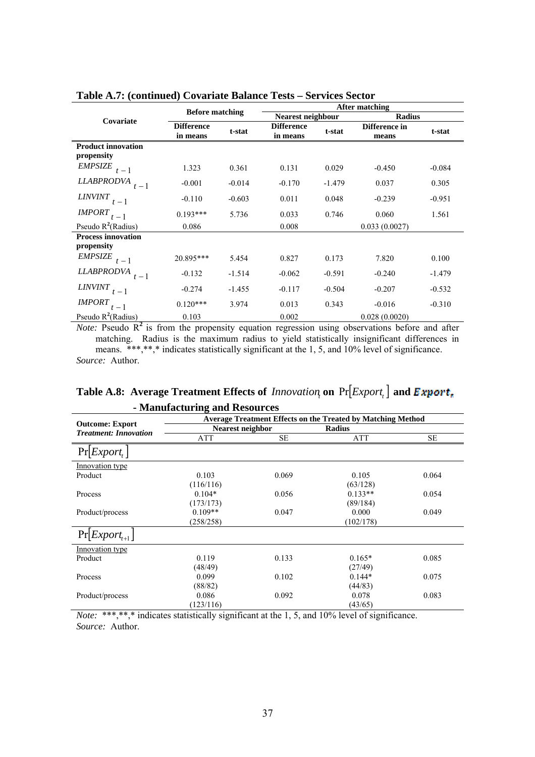|                                         | <b>Before matching</b>        |          | After matching                |          |                        |          |
|-----------------------------------------|-------------------------------|----------|-------------------------------|----------|------------------------|----------|
| Covariate                               |                               |          | <b>Nearest neighbour</b>      |          | <b>Radius</b>          |          |
|                                         | <b>Difference</b><br>in means | t-stat   | <b>Difference</b><br>in means | t-stat   | Difference in<br>means | t-stat   |
| <b>Product innovation</b><br>propensity |                               |          |                               |          |                        |          |
| <b>EMPSIZE</b><br>$t-1$                 | 1.323                         | 0.361    | 0.131                         | 0.029    | $-0.450$               | $-0.084$ |
| <b>LLABPRODVA</b><br>$t-1$              | $-0.001$                      | $-0.014$ | $-0.170$                      | $-1.479$ | 0.037                  | 0.305    |
| <i>LINVINT</i><br>$t-1$                 | $-0.110$                      | $-0.603$ | 0.011                         | 0.048    | $-0.239$               | $-0.951$ |
| <i><b>IMPORT</b></i><br>$t-1$           | $0.193***$                    | 5.736    | 0.033                         | 0.746    | 0.060                  | 1.561    |
| Pseudo $R^2(Radius)$                    | 0.086                         |          | 0.008                         |          | 0.033(0.0027)          |          |
| <b>Process innovation</b>               |                               |          |                               |          |                        |          |
| propensity                              |                               |          |                               |          |                        |          |
| EMPSIZE $t-1$                           | 20.895***                     | 5.454    | 0.827                         | 0.173    | 7.820                  | 0.100    |
| <b>LLABPRODVA</b><br>$t-1$              | $-0.132$                      | $-1.514$ | $-0.062$                      | $-0.591$ | $-0.240$               | $-1.479$ |
| <b>LINVINT</b><br>$t-1$                 | $-0.274$                      | $-1.455$ | $-0.117$                      | $-0.504$ | $-0.207$               | $-0.532$ |
| <i><b>IMPORT</b></i><br>$t-1$           | $0.120***$                    | 3.974    | 0.013                         | 0.343    | $-0.016$               | $-0.310$ |
| Pseudo $R^2$ (Radius)                   | 0.103                         |          | 0.002                         |          | 0.028(0.0020)          |          |

### **Table A.7: (continued) Covariate Balance Tests – Services Sector**

*Note:* Pseudo  $R^2$  is from the propensity equation regression using observations before and after matching. Radius is the maximum radius to yield statistically insignificant differences in means. \*\*\*,\*\*,\* indicates statistically significant at the 1, 5, and 10% level of significance. *Source:* Author.

| Table A.8: Average Treatment Effects of <i>Innovation</i> on $Pr[Expert_t]$ and <i>Export</i> <sub>n</sub> |  |  |
|------------------------------------------------------------------------------------------------------------|--|--|
| - Manufacturing and Resources                                                                              |  |  |

| <b>Manufactul ing and Resources</b><br><b>Average Treatment Effects on the Treated by Matching Method</b> |                  |           |               |           |  |  |
|-----------------------------------------------------------------------------------------------------------|------------------|-----------|---------------|-----------|--|--|
| <b>Outcome: Export</b>                                                                                    | Nearest neighbor |           | <b>Radius</b> |           |  |  |
| <b>Treatment: Innovation</b>                                                                              | ATT              | <b>SE</b> | <b>ATT</b>    | <b>SE</b> |  |  |
| $Pr[Expert_{t}]$                                                                                          |                  |           |               |           |  |  |
| Innovation type                                                                                           |                  |           |               |           |  |  |
| Product                                                                                                   | 0.103            | 0.069     | 0.105         | 0.064     |  |  |
|                                                                                                           | (116/116)        |           | (63/128)      |           |  |  |
| Process                                                                                                   | $0.104*$         | 0.056     | $0.133**$     | 0.054     |  |  |
|                                                                                                           | (173/173)        |           | (89/184)      |           |  |  |
| Product/process                                                                                           | $0.109**$        | 0.047     | 0.000         | 0.049     |  |  |
|                                                                                                           | (258/258)        |           | (102/178)     |           |  |  |
| $Pr[Expert_{t+1}]$                                                                                        |                  |           |               |           |  |  |
| Innovation type                                                                                           |                  |           |               |           |  |  |
| Product                                                                                                   | 0.119            | 0.133     | $0.165*$      | 0.085     |  |  |
|                                                                                                           | (48/49)          |           | (27/49)       |           |  |  |
| Process                                                                                                   | 0.099            | 0.102     | $0.144*$      | 0.075     |  |  |
|                                                                                                           | (88/82)          |           | (44/83)       |           |  |  |
| Product/process                                                                                           | 0.086            | 0.092     | 0.078         | 0.083     |  |  |
|                                                                                                           | (123/116)        |           | (43/65)       |           |  |  |
|                                                                                                           |                  |           |               |           |  |  |

*Note:* \*\*\*,\*\*,\* indicates statistically significant at the 1, 5, and 10% level of significance. *Source:* Author.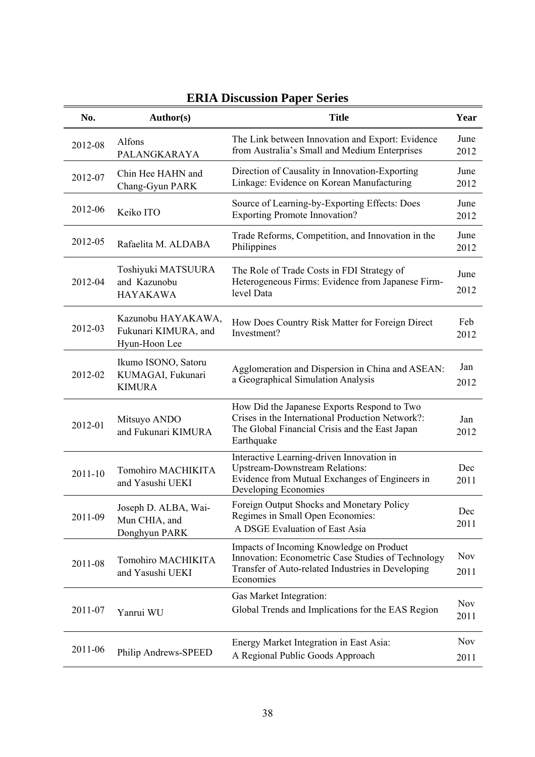| No.     | Author(s)                                                   | <b>Title</b>                                                                                                                                                     | Year               |
|---------|-------------------------------------------------------------|------------------------------------------------------------------------------------------------------------------------------------------------------------------|--------------------|
| 2012-08 | Alfons<br>PALANGKARAYA                                      | The Link between Innovation and Export: Evidence<br>from Australia's Small and Medium Enterprises                                                                | June<br>2012       |
| 2012-07 | Chin Hee HAHN and<br>Chang-Gyun PARK                        | Direction of Causality in Innovation-Exporting<br>Linkage: Evidence on Korean Manufacturing                                                                      | June<br>2012       |
| 2012-06 | Keiko ITO                                                   | Source of Learning-by-Exporting Effects: Does<br><b>Exporting Promote Innovation?</b>                                                                            | June<br>2012       |
| 2012-05 | Rafaelita M. ALDABA                                         | Trade Reforms, Competition, and Innovation in the<br>Philippines                                                                                                 | June<br>2012       |
| 2012-04 | Toshiyuki MATSUURA<br>and Kazunobu<br><b>HAYAKAWA</b>       | The Role of Trade Costs in FDI Strategy of<br>Heterogeneous Firms: Evidence from Japanese Firm-<br>level Data                                                    | June<br>2012       |
| 2012-03 | Kazunobu HAYAKAWA,<br>Fukunari KIMURA, and<br>Hyun-Hoon Lee | How Does Country Risk Matter for Foreign Direct<br>Investment?                                                                                                   | Feb<br>2012        |
| 2012-02 | Ikumo ISONO, Satoru<br>KUMAGAI, Fukunari<br><b>KIMURA</b>   | Agglomeration and Dispersion in China and ASEAN:<br>a Geographical Simulation Analysis                                                                           | Jan<br>2012        |
| 2012-01 | Mitsuyo ANDO<br>and Fukunari KIMURA                         | How Did the Japanese Exports Respond to Two<br>Crises in the International Production Network?:<br>The Global Financial Crisis and the East Japan<br>Earthquake  | Jan<br>2012        |
| 2011-10 | Tomohiro MACHIKITA<br>and Yasushi UEKI                      | Interactive Learning-driven Innovation in<br><b>Upstream-Downstream Relations:</b><br>Evidence from Mutual Exchanges of Engineers in<br>Developing Economies     | Dec<br>2011        |
| 2011-09 | Joseph D. ALBA, Wai-<br>Mun CHIA, and<br>Donghyun PARK      | Foreign Output Shocks and Monetary Policy<br>Regimes in Small Open Economies:<br>A DSGE Evaluation of East Asia                                                  | Dec<br>2011        |
| 2011-08 | Tomohiro MACHIKITA<br>and Yasushi UEKI                      | Impacts of Incoming Knowledge on Product<br>Innovation: Econometric Case Studies of Technology<br>Transfer of Auto-related Industries in Developing<br>Economies | <b>Nov</b><br>2011 |
| 2011-07 | Yanrui WU                                                   | Gas Market Integration:<br>Global Trends and Implications for the EAS Region                                                                                     | <b>Nov</b><br>2011 |
| 2011-06 | Philip Andrews-SPEED                                        | Energy Market Integration in East Asia:<br>A Regional Public Goods Approach                                                                                      | <b>Nov</b><br>2011 |

# **ERIA Discussion Paper Series**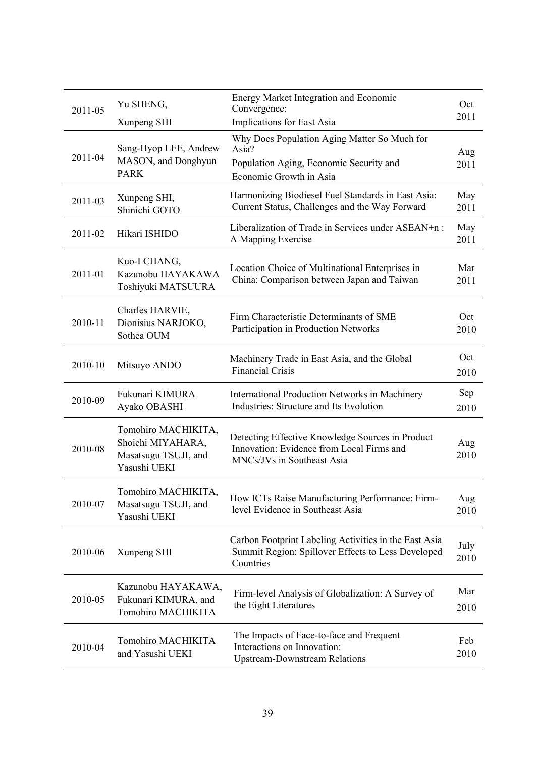| 2011-05 | Yu SHENG,<br>Xunpeng SHI                                                         | <b>Energy Market Integration and Economic</b><br>Convergence:<br>Implications for East Asia                                 | Oct<br>2011  |
|---------|----------------------------------------------------------------------------------|-----------------------------------------------------------------------------------------------------------------------------|--------------|
| 2011-04 | Sang-Hyop LEE, Andrew<br>MASON, and Donghyun<br><b>PARK</b>                      | Why Does Population Aging Matter So Much for<br>Asia?<br>Population Aging, Economic Security and<br>Economic Growth in Asia | Aug<br>2011  |
| 2011-03 | Xunpeng SHI,<br>Shinichi GOTO                                                    | Harmonizing Biodiesel Fuel Standards in East Asia:<br>Current Status, Challenges and the Way Forward                        | May<br>2011  |
| 2011-02 | Hikari ISHIDO                                                                    | Liberalization of Trade in Services under ASEAN+n:<br>A Mapping Exercise                                                    | May<br>2011  |
| 2011-01 | Kuo-I CHANG,<br>Kazunobu HAYAKAWA<br>Toshiyuki MATSUURA                          | Location Choice of Multinational Enterprises in<br>China: Comparison between Japan and Taiwan                               | Mar<br>2011  |
| 2010-11 | Charles HARVIE,<br>Dionisius NARJOKO,<br>Sothea OUM                              | Firm Characteristic Determinants of SME<br>Participation in Production Networks                                             | Oct<br>2010  |
| 2010-10 | Mitsuyo ANDO                                                                     | Machinery Trade in East Asia, and the Global<br><b>Financial Crisis</b>                                                     | Oct<br>2010  |
| 2010-09 | Fukunari KIMURA<br>Ayako OBASHI                                                  | <b>International Production Networks in Machinery</b><br>Industries: Structure and Its Evolution                            | Sep<br>2010  |
| 2010-08 | Tomohiro MACHIKITA,<br>Shoichi MIYAHARA,<br>Masatsugu TSUJI, and<br>Yasushi UEKI | Detecting Effective Knowledge Sources in Product<br>Innovation: Evidence from Local Firms and<br>MNCs/JVs in Southeast Asia | Aug<br>2010  |
| 2010-07 | Tomohiro MACHIKITA,<br>Masatsugu TSUJI, and<br>Yasushi UEKI                      | How ICTs Raise Manufacturing Performance: Firm-<br>level Evidence in Southeast Asia                                         | Aug<br>2010  |
| 2010-06 | Xunpeng SHI                                                                      | Carbon Footprint Labeling Activities in the East Asia<br>Summit Region: Spillover Effects to Less Developed<br>Countries    | July<br>2010 |
| 2010-05 | Kazunobu HAYAKAWA,<br>Fukunari KIMURA, and<br>Tomohiro MACHIKITA                 | Firm-level Analysis of Globalization: A Survey of<br>the Eight Literatures                                                  | Mar<br>2010  |
| 2010-04 | Tomohiro MACHIKITA<br>and Yasushi UEKI                                           | The Impacts of Face-to-face and Frequent<br>Interactions on Innovation:<br><b>Upstream-Downstream Relations</b>             | Feb<br>2010  |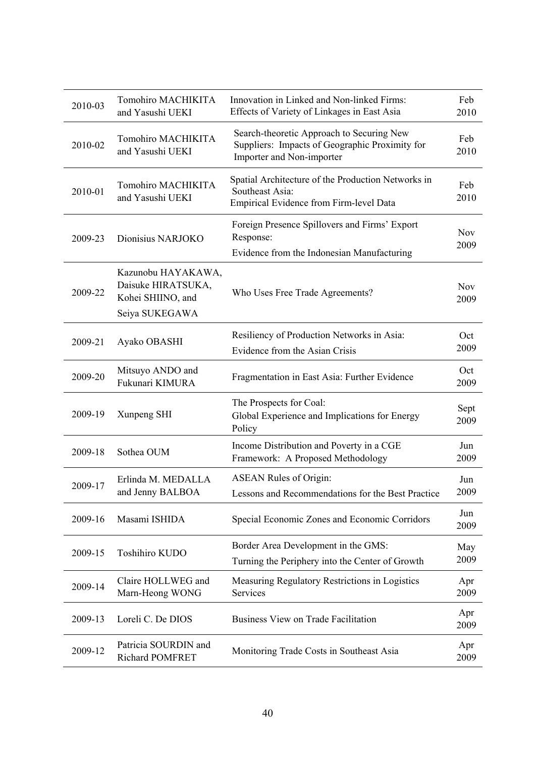| 2010-03 | Tomohiro MACHIKITA<br>and Yasushi UEKI                                          | Innovation in Linked and Non-linked Firms:<br>Effects of Variety of Linkages in East Asia                                | Feb<br>2010        |
|---------|---------------------------------------------------------------------------------|--------------------------------------------------------------------------------------------------------------------------|--------------------|
| 2010-02 | Tomohiro MACHIKITA<br>and Yasushi UEKI                                          | Search-theoretic Approach to Securing New<br>Suppliers: Impacts of Geographic Proximity for<br>Importer and Non-importer | Feb<br>2010        |
| 2010-01 | Tomohiro MACHIKITA<br>and Yasushi UEKI                                          | Spatial Architecture of the Production Networks in<br>Southeast Asia:<br>Empirical Evidence from Firm-level Data         | Feb<br>2010        |
| 2009-23 | Dionisius NARJOKO                                                               | Foreign Presence Spillovers and Firms' Export<br>Response:<br>Evidence from the Indonesian Manufacturing                 | <b>Nov</b><br>2009 |
| 2009-22 | Kazunobu HAYAKAWA,<br>Daisuke HIRATSUKA,<br>Kohei SHIINO, and<br>Seiya SUKEGAWA | Who Uses Free Trade Agreements?                                                                                          | <b>Nov</b><br>2009 |
| 2009-21 | Ayako OBASHI                                                                    | Resiliency of Production Networks in Asia:<br>Evidence from the Asian Crisis                                             | Oct<br>2009        |
| 2009-20 | Mitsuyo ANDO and<br>Fukunari KIMURA                                             | Fragmentation in East Asia: Further Evidence                                                                             | Oct<br>2009        |
| 2009-19 | Xunpeng SHI                                                                     | The Prospects for Coal:<br>Global Experience and Implications for Energy<br>Policy                                       | Sept<br>2009       |
| 2009-18 | Sothea OUM                                                                      | Income Distribution and Poverty in a CGE<br>Framework: A Proposed Methodology                                            | Jun<br>2009        |
| 2009-17 | Erlinda M. MEDALLA<br>and Jenny BALBOA                                          | <b>ASEAN Rules of Origin:</b><br>Lessons and Recommendations for the Best Practice                                       | Jun<br>2009        |
| 2009-16 | Masami ISHIDA                                                                   | Special Economic Zones and Economic Corridors                                                                            | Jun<br>2009        |
| 2009-15 | Toshihiro KUDO                                                                  | Border Area Development in the GMS:<br>Turning the Periphery into the Center of Growth                                   | May<br>2009        |
| 2009-14 | Claire HOLLWEG and<br>Marn-Heong WONG                                           | Measuring Regulatory Restrictions in Logistics<br>Services                                                               | Apr<br>2009        |
| 2009-13 | Loreli C. De DIOS                                                               | Business View on Trade Facilitation                                                                                      | Apr<br>2009        |
| 2009-12 | Patricia SOURDIN and<br>Richard POMFRET                                         | Monitoring Trade Costs in Southeast Asia                                                                                 | Apr<br>2009        |